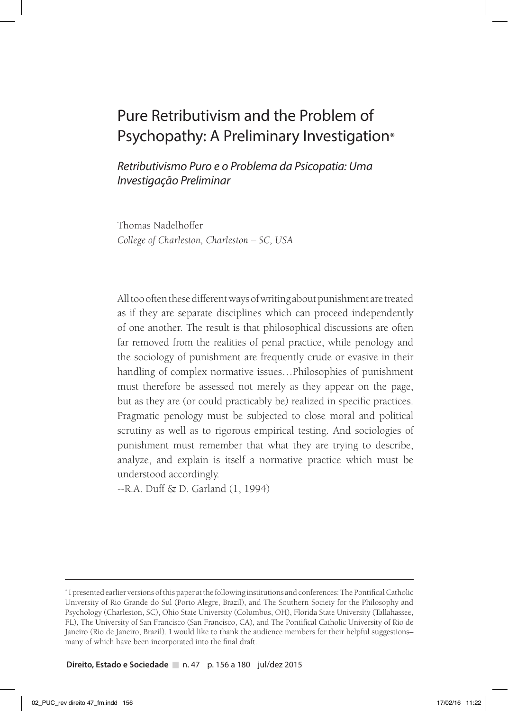# Pure Retributivism and the Problem of Psychopathy: A Preliminary Investigation\*

*Retributivismo Puro e o Problema da Psicopatia: Uma Investigação Preliminar*

Thomas Nadelhoffer *College of Charleston, Charleston – SC, USA*

All too often these different ways of writing about punishment are treated as if they are separate disciplines which can proceed independently of one another. The result is that philosophical discussions are often far removed from the realities of penal practice, while penology and the sociology of punishment are frequently crude or evasive in their handling of complex normative issues…Philosophies of punishment must therefore be assessed not merely as they appear on the page, but as they are (or could practicably be) realized in specific practices. Pragmatic penology must be subjected to close moral and political scrutiny as well as to rigorous empirical testing. And sociologies of punishment must remember that what they are trying to describe, analyze, and explain is itself a normative practice which must be understood accordingly.

--R.A. Duff & D. Garland (1, 1994)

**Direito, Estado e Sociedade** n. 47 p. 156 a 180 jul/dez 2015

<sup>\*</sup> I presented earlier versions of this paper at the following institutions and conferences: The Pontifical Catholic University of Rio Grande do Sul (Porto Alegre, Brazil), and The Southern Society for the Philosophy and Psychology (Charleston, SC), Ohio State University (Columbus, OH), Florida State University (Tallahassee, FL), The University of San Francisco (San Francisco, CA), and The Pontifical Catholic University of Rio de Janeiro (Rio de Janeiro, Brazil). I would like to thank the audience members for their helpful suggestions– many of which have been incorporated into the final draft.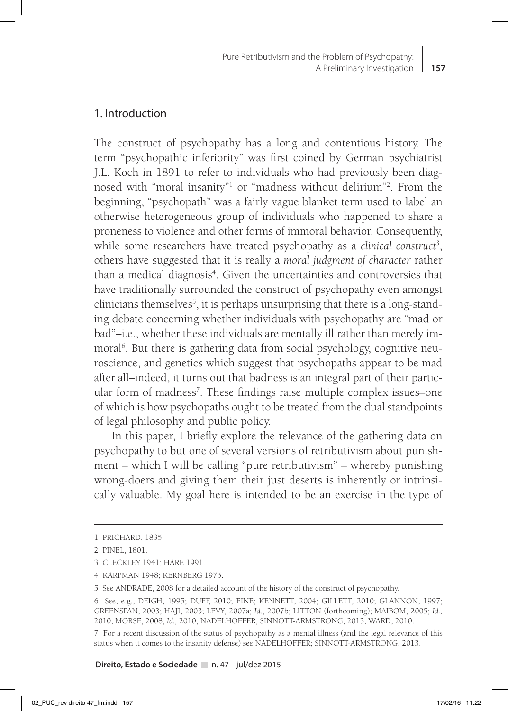#### 1. Introduction

The construct of psychopathy has a long and contentious history. The term "psychopathic inferiority" was first coined by German psychiatrist J.L. Koch in 1891 to refer to individuals who had previously been diagnosed with "moral insanity"1 or "madness without delirium"2 . From the beginning, "psychopath" was a fairly vague blanket term used to label an otherwise heterogeneous group of individuals who happened to share a proneness to violence and other forms of immoral behavior. Consequently, while some researchers have treated psychopathy as a *clinical construct<sup>3</sup>*, others have suggested that it is really a *moral judgment of character* rather than a medical diagnosis<sup>4</sup>. Given the uncertainties and controversies that have traditionally surrounded the construct of psychopathy even amongst clinicians themselves<sup>5</sup>, it is perhaps unsurprising that there is a long-standing debate concerning whether individuals with psychopathy are "mad or bad"–i.e., whether these individuals are mentally ill rather than merely immoral<sup>6</sup>. But there is gathering data from social psychology, cognitive neuroscience, and genetics which suggest that psychopaths appear to be mad after all–indeed, it turns out that badness is an integral part of their particular form of madness<sup>7</sup>. These findings raise multiple complex issues-one of which is how psychopaths ought to be treated from the dual standpoints of legal philosophy and public policy.

In this paper, I briefly explore the relevance of the gathering data on psychopathy to but one of several versions of retributivism about punishment – which I will be calling "pure retributivism" – whereby punishing wrong-doers and giving them their just deserts is inherently or intrinsically valuable. My goal here is intended to be an exercise in the type of

7 For a recent discussion of the status of psychopathy as a mental illness (and the legal relevance of this status when it comes to the insanity defense) see NADELHOFFER; SINNOTT-ARMSTRONG, 2013.

<sup>1</sup> PRICHARD, 1835.

<sup>2</sup> PINEL, 1801.

<sup>3</sup> CLECKLEY 1941; HARE 1991.

<sup>4</sup> KARPMAN 1948; KERNBERG 1975.

<sup>5</sup> See ANDRADE, 2008 for a detailed account of the history of the construct of psychopathy.

<sup>6</sup> See, e.g., DEIGH, 1995; DUFF, 2010; FINE; KENNETT, 2004; GILLETT, 2010; GLANNON, 1997; GREENSPAN, 2003; HAJI, 2003; LEVY, 2007a; *Id*., 2007b; LITTON (forthcoming); MAIBOM, 2005; *Id.,* 2010; MORSE, 2008; *Id.,* 2010; NADELHOFFER; SINNOTT-ARMSTRONG, 2013; WARD, 2010.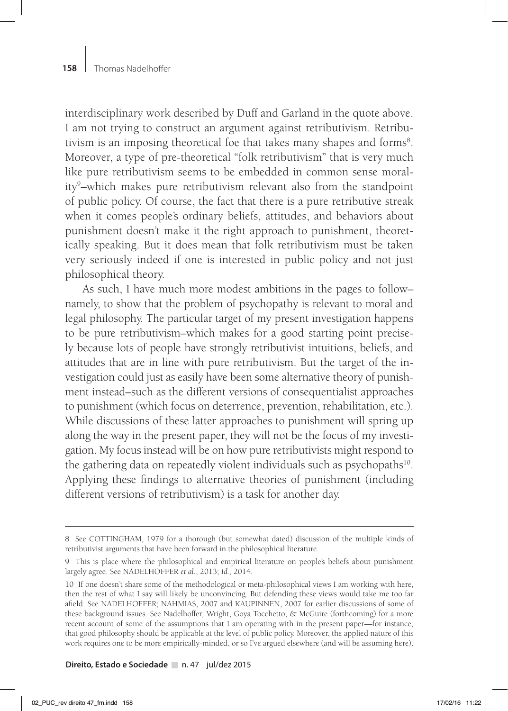interdisciplinary work described by Duff and Garland in the quote above. I am not trying to construct an argument against retributivism. Retributivism is an imposing theoretical foe that takes many shapes and forms<sup>8</sup>. Moreover, a type of pre-theoretical "folk retributivism" that is very much like pure retributivism seems to be embedded in common sense morality9 –which makes pure retributivism relevant also from the standpoint of public policy. Of course, the fact that there is a pure retributive streak when it comes people's ordinary beliefs, attitudes, and behaviors about punishment doesn't make it the right approach to punishment, theoretically speaking. But it does mean that folk retributivism must be taken very seriously indeed if one is interested in public policy and not just philosophical theory.

As such, I have much more modest ambitions in the pages to follow– namely, to show that the problem of psychopathy is relevant to moral and legal philosophy. The particular target of my present investigation happens to be pure retributivism–which makes for a good starting point precisely because lots of people have strongly retributivist intuitions, beliefs, and attitudes that are in line with pure retributivism. But the target of the investigation could just as easily have been some alternative theory of punishment instead–such as the different versions of consequentialist approaches to punishment (which focus on deterrence, prevention, rehabilitation, etc.). While discussions of these latter approaches to punishment will spring up along the way in the present paper, they will not be the focus of my investigation. My focus instead will be on how pure retributivists might respond to the gathering data on repeatedly violent individuals such as psychopaths<sup>10</sup>. Applying these findings to alternative theories of punishment (including different versions of retributivism) is a task for another day.

<sup>8</sup> See COTTINGHAM, 1979 for a thorough (but somewhat dated) discussion of the multiple kinds of retributivist arguments that have been forward in the philosophical literature.

<sup>9</sup> This is place where the philosophical and empirical literature on people's beliefs about punishment largely agree. See NADELHOFFER *et al.*, 2013; *Id.,* 2014.

<sup>10</sup> If one doesn't share some of the methodological or meta-philosophical views I am working with here, then the rest of what I say will likely be unconvincing. But defending these views would take me too far afield. See NADELHOFFER; NAHMIAS, 2007 and KAUPINNEN, 2007 for earlier discussions of some of these background issues. See Nadelhoffer, Wright, Goya Tocchetto, & McGuire (forthcoming) for a more recent account of some of the assumptions that I am operating with in the present paper—for instance, that good philosophy should be applicable at the level of public policy. Moreover, the applied nature of this work requires one to be more empirically-minded, or so I've argued elsewhere (and will be assuming here).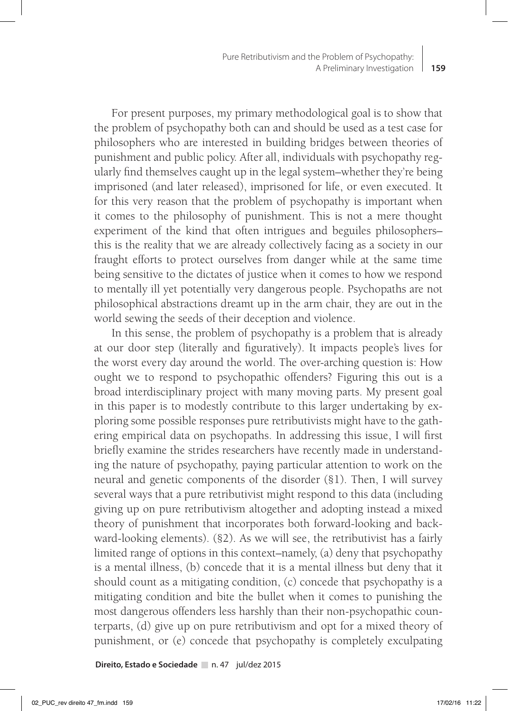For present purposes, my primary methodological goal is to show that the problem of psychopathy both can and should be used as a test case for philosophers who are interested in building bridges between theories of punishment and public policy. After all, individuals with psychopathy regularly find themselves caught up in the legal system–whether they're being imprisoned (and later released), imprisoned for life, or even executed. It for this very reason that the problem of psychopathy is important when it comes to the philosophy of punishment. This is not a mere thought experiment of the kind that often intrigues and beguiles philosophers– this is the reality that we are already collectively facing as a society in our fraught efforts to protect ourselves from danger while at the same time being sensitive to the dictates of justice when it comes to how we respond to mentally ill yet potentially very dangerous people. Psychopaths are not philosophical abstractions dreamt up in the arm chair, they are out in the world sewing the seeds of their deception and violence.

In this sense, the problem of psychopathy is a problem that is already at our door step (literally and figuratively). It impacts people's lives for the worst every day around the world. The over-arching question is: How ought we to respond to psychopathic offenders? Figuring this out is a broad interdisciplinary project with many moving parts. My present goal in this paper is to modestly contribute to this larger undertaking by exploring some possible responses pure retributivists might have to the gathering empirical data on psychopaths. In addressing this issue, I will first briefly examine the strides researchers have recently made in understanding the nature of psychopathy, paying particular attention to work on the neural and genetic components of the disorder (§1). Then, I will survey several ways that a pure retributivist might respond to this data (including giving up on pure retributivism altogether and adopting instead a mixed theory of punishment that incorporates both forward-looking and backward-looking elements). (§2). As we will see, the retributivist has a fairly limited range of options in this context–namely, (a) deny that psychopathy is a mental illness, (b) concede that it is a mental illness but deny that it should count as a mitigating condition, (c) concede that psychopathy is a mitigating condition and bite the bullet when it comes to punishing the most dangerous offenders less harshly than their non-psychopathic counterparts, (d) give up on pure retributivism and opt for a mixed theory of punishment, or (e) concede that psychopathy is completely exculpating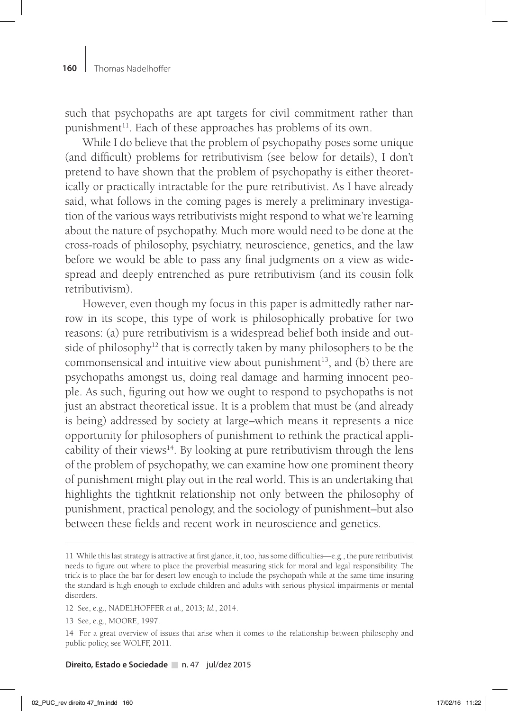such that psychopaths are apt targets for civil commitment rather than punishment<sup>11</sup>. Each of these approaches has problems of its own.

While I do believe that the problem of psychopathy poses some unique (and difficult) problems for retributivism (see below for details), I don't pretend to have shown that the problem of psychopathy is either theoretically or practically intractable for the pure retributivist. As I have already said, what follows in the coming pages is merely a preliminary investigation of the various ways retributivists might respond to what we're learning about the nature of psychopathy. Much more would need to be done at the cross-roads of philosophy, psychiatry, neuroscience, genetics, and the law before we would be able to pass any final judgments on a view as widespread and deeply entrenched as pure retributivism (and its cousin folk retributivism).

However, even though my focus in this paper is admittedly rather narrow in its scope, this type of work is philosophically probative for two reasons: (a) pure retributivism is a widespread belief both inside and outside of philosophy<sup>12</sup> that is correctly taken by many philosophers to be the commonsensical and intuitive view about punishment<sup>13</sup>, and (b) there are psychopaths amongst us, doing real damage and harming innocent people. As such, figuring out how we ought to respond to psychopaths is not just an abstract theoretical issue. It is a problem that must be (and already is being) addressed by society at large–which means it represents a nice opportunity for philosophers of punishment to rethink the practical applicability of their views<sup>14</sup>. By looking at pure retributivism through the lens of the problem of psychopathy, we can examine how one prominent theory of punishment might play out in the real world. This is an undertaking that highlights the tightknit relationship not only between the philosophy of punishment, practical penology, and the sociology of punishment–but also between these fields and recent work in neuroscience and genetics.

- 12 See, e.g., NADELHOFFER *et al.,* 2013; *Id.*, 2014.
- 13 See, e.g., MOORE, 1997.

<sup>11</sup> While this last strategy is attractive at first glance, it, too, has some difficulties—e.g., the pure retributivist needs to figure out where to place the proverbial measuring stick for moral and legal responsibility. The trick is to place the bar for desert low enough to include the psychopath while at the same time insuring the standard is high enough to exclude children and adults with serious physical impairments or mental disorders.

<sup>14</sup> For a great overview of issues that arise when it comes to the relationship between philosophy and public policy, see WOLFF, 2011.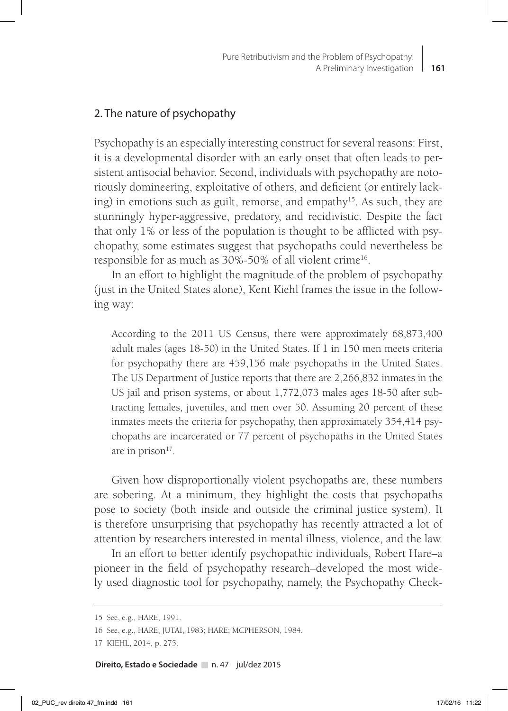## 2. The nature of psychopathy

Psychopathy is an especially interesting construct for several reasons: First, it is a developmental disorder with an early onset that often leads to persistent antisocial behavior. Second, individuals with psychopathy are notoriously domineering, exploitative of others, and deficient (or entirely lacking) in emotions such as guilt, remorse, and empathy<sup>15</sup>. As such, they are stunningly hyper-aggressive, predatory, and recidivistic. Despite the fact that only 1% or less of the population is thought to be afflicted with psychopathy, some estimates suggest that psychopaths could nevertheless be responsible for as much as 30%-50% of all violent crime<sup>16</sup>.

In an effort to highlight the magnitude of the problem of psychopathy (just in the United States alone), Kent Kiehl frames the issue in the following way:

According to the 2011 US Census, there were approximately 68,873,400 adult males (ages 18-50) in the United States. If 1 in 150 men meets criteria for psychopathy there are 459,156 male psychopaths in the United States. The US Department of Justice reports that there are 2,266,832 inmates in the US jail and prison systems, or about 1,772,073 males ages 18-50 after subtracting females, juveniles, and men over 50. Assuming 20 percent of these inmates meets the criteria for psychopathy, then approximately 354,414 psychopaths are incarcerated or 77 percent of psychopaths in the United States are in prison $17$ .

Given how disproportionally violent psychopaths are, these numbers are sobering. At a minimum, they highlight the costs that psychopaths pose to society (both inside and outside the criminal justice system). It is therefore unsurprising that psychopathy has recently attracted a lot of attention by researchers interested in mental illness, violence, and the law.

In an effort to better identify psychopathic individuals, Robert Hare–a pioneer in the field of psychopathy research–developed the most widely used diagnostic tool for psychopathy, namely, the Psychopathy Check-

<sup>15</sup> See, e.g., HARE, 1991.

<sup>16</sup> See, e.g., HARE; JUTAI, 1983; HARE; MCPHERSON, 1984.

<sup>17</sup> KIEHL, 2014, p. 275.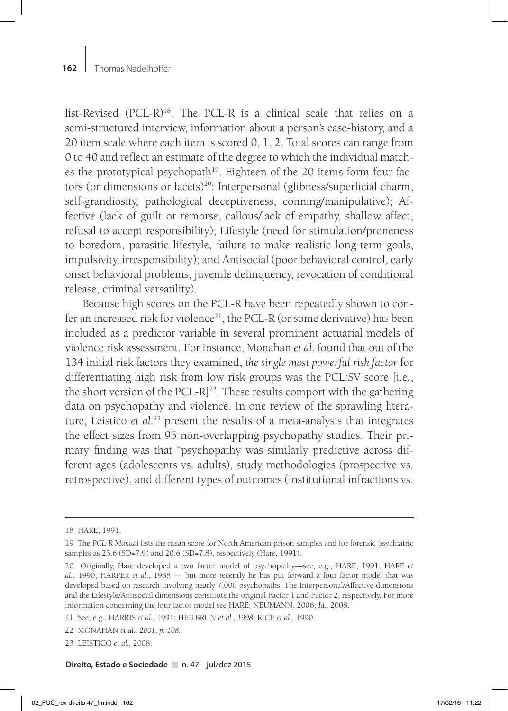list-Revised (PCL-R)18. The PCL-R is a clinical scale that relies on a semi-structured interview, information about a person's case-history, and a 20 item scale where each item is scored 0, 1, 2. Total scores can range from 0 to 40 and reflect an estimate of the degree to which the individual matches the prototypical psychopath<sup>19</sup>. Eighteen of the 20 items form four factors (or dimensions or facets)<sup>20</sup>: Interpersonal (glibness/superficial charm, self-grandiosity, pathological deceptiveness, conning/manipulative); Affective (lack of guilt or remorse, callous/lack of empathy, shallow affect, refusal to accept responsibility); Lifestyle (need for stimulation/proneness to boredom, parasitic lifestyle, failure to make realistic long-term goals, impulsivity, irresponsibility); and Antisocial (poor behavioral control, early onset behavioral problems, juvenile delinquency, revocation of conditional release, criminal versatility).

Because high scores on the PCL-R have been repeatedly shown to confer an increased risk for violence<sup>21</sup>, the PCL-R (or some derivative) has been included as a predictor variable in several prominent actuarial models of violence risk assessment. For instance, Monahan *et al.* found that out of the 134 initial risk factors they examined, *the single most powerful risk factor* for differentiating high risk from low risk groups was the PCL:SV score [i.e., the short version of the PCL-R $]^{22}$ . These results comport with the gathering data on psychopathy and violence. In one review of the sprawling literature, Leistico *et al.23* present the results of a meta-analysis that integrates the effect sizes from 95 non-overlapping psychopathy studies. Their primary finding was that "psychopathy was similarly predictive across different ages (adolescents vs. adults), study methodologies (prospective vs. retrospective), and different types of outcomes (institutional infractions vs.

<sup>18</sup> HARE, 1991.

<sup>19</sup> The *PCL-R Manual* lists the mean score for North American prison samples and for forensic psychiatric samples as 23.6 (SD=7.9) and 20.6 (SD=7.8), respectively (Hare, 1991).

<sup>20</sup> Originally, Hare developed a two factor model of psychopathy—see, e.g., HARE, 1991; HARE *et al.*, 1990; HARPER *et al.,* 1988 — but more recently he has put forward a four factor model that was developed based on research involving nearly 7,000 psychopaths. The Interpersonal/Affective dimensions and the Lifestyle/Antisocial dimensions constitute the original Factor 1 and Factor 2, respectively. For more information concerning the four factor model see HARE; NEUMANN, 2006; *Id.,* 2008.

<sup>21</sup> See, e.g., HARRIS *et al.,* 1991; HEILBRUN *et al., 1998*; RICE *et al.*, 1990.

<sup>22</sup> MONAHAN *et al., 2001, p. 108.*

<sup>23</sup> LEISTICO *et al.,* 2008.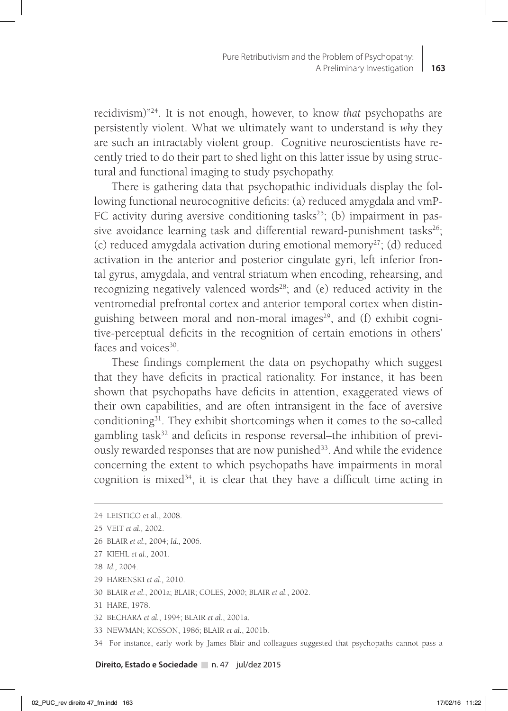recidivism)"24. It is not enough, however, to know *that* psychopaths are persistently violent. What we ultimately want to understand is *why* they are such an intractably violent group. Cognitive neuroscientists have recently tried to do their part to shed light on this latter issue by using structural and functional imaging to study psychopathy.

There is gathering data that psychopathic individuals display the following functional neurocognitive deficits: (a) reduced amygdala and vmP-FC activity during aversive conditioning tasks<sup>25</sup>; (b) impairment in passive avoidance learning task and differential reward-punishment tasks<sup>26</sup>; (c) reduced amygdala activation during emotional memory<sup>27</sup>; (d) reduced activation in the anterior and posterior cingulate gyri, left inferior frontal gyrus, amygdala, and ventral striatum when encoding, rehearsing, and recognizing negatively valenced words<sup>28</sup>; and (e) reduced activity in the ventromedial prefrontal cortex and anterior temporal cortex when distinguishing between moral and non-moral images<sup>29</sup>, and  $(f)$  exhibit cognitive-perceptual deficits in the recognition of certain emotions in others' faces and voices<sup>30</sup>.

These findings complement the data on psychopathy which suggest that they have deficits in practical rationality. For instance, it has been shown that psychopaths have deficits in attention, exaggerated views of their own capabilities, and are often intransigent in the face of aversive conditioning31. They exhibit shortcomings when it comes to the so-called gambling task<sup>32</sup> and deficits in response reversal–the inhibition of previously rewarded responses that are now punished<sup>33</sup>. And while the evidence concerning the extent to which psychopaths have impairments in moral cognition is mixed<sup>34</sup>, it is clear that they have a difficult time acting in

- 26 BLAIR *et al.,* 2004; *Id.,* 2006.
- 27 KIEHL *et al.,* 2001.
- 28 *Id.,* 2004.
- 29 HARENSKI *et al.,* 2010.
- 30 BLAIR *et al.*, 2001a; BLAIR; COLES, 2000; BLAIR *et al.*, 2002.
- 31 HARE, 1978.
- 32 BECHARA *et al.*, 1994; BLAIR *et al.*, 2001a.
- 33 NEWMAN; KOSSON, 1986; BLAIR *et al.*, 2001b.
- 34 For instance, early work by James Blair and colleagues suggested that psychopaths cannot pass a

<sup>24</sup> LEISTICO et al., 2008.

<sup>25</sup> VEIT *et al.,* 2002.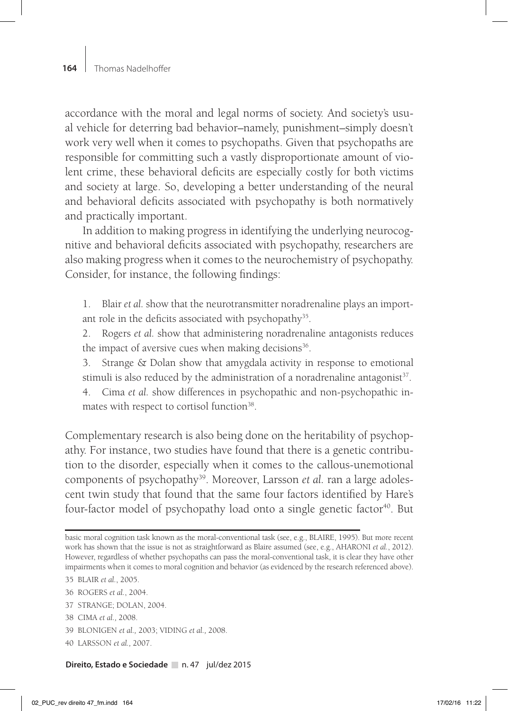accordance with the moral and legal norms of society. And society's usual vehicle for deterring bad behavior–namely, punishment–simply doesn't work very well when it comes to psychopaths. Given that psychopaths are responsible for committing such a vastly disproportionate amount of violent crime, these behavioral deficits are especially costly for both victims and society at large. So, developing a better understanding of the neural and behavioral deficits associated with psychopathy is both normatively and practically important.

In addition to making progress in identifying the underlying neurocognitive and behavioral deficits associated with psychopathy, researchers are also making progress when it comes to the neurochemistry of psychopathy. Consider, for instance, the following findings:

1. Blair *et al.* show that the neurotransmitter noradrenaline plays an important role in the deficits associated with psychopathy<sup>35</sup>.

2. Rogers *et al.* show that administering noradrenaline antagonists reduces the impact of aversive cues when making decisions<sup>36</sup>.

3. Strange & Dolan show that amygdala activity in response to emotional stimuli is also reduced by the administration of a noradrenaline antagonist $37$ .

4. Cima *et al.* show differences in psychopathic and non-psychopathic inmates with respect to cortisol function<sup>38</sup>.

Complementary research is also being done on the heritability of psychopathy. For instance, two studies have found that there is a genetic contribution to the disorder, especially when it comes to the callous-unemotional components of psychopathy<sup>39</sup>. Moreover, Larsson *et al.* ran a large adolescent twin study that found that the same four factors identified by Hare's four-factor model of psychopathy load onto a single genetic factor<sup>40</sup>. But

- 37 STRANGE; DOLAN, 2004.
- 38 CIMA *et al.,* 2008.
- 39 BLONIGEN *et al.,* 2003; VIDING *et al.,* 2008.
- 40 LARSSON *et al.,* 2007.

basic moral cognition task known as the moral-conventional task (see, e.g., BLAIRE, 1995). But more recent work has shown that the issue is not as straightforward as Blaire assumed (see, e.g., AHARONI *et al.*, 2012). However, regardless of whether psychopaths can pass the moral-conventional task, it is clear they have other impairments when it comes to moral cognition and behavior (as evidenced by the research referenced above).

<sup>35</sup> BLAIR *et al.*, 2005.

<sup>36</sup> ROGERS *et al.*, 2004.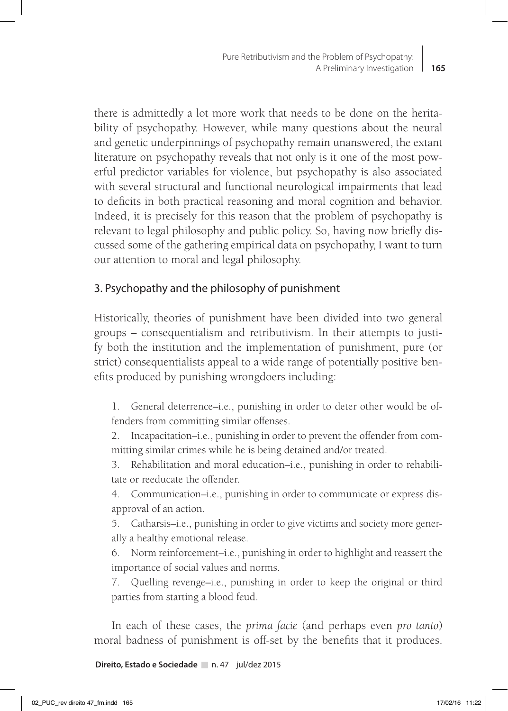there is admittedly a lot more work that needs to be done on the heritability of psychopathy. However, while many questions about the neural and genetic underpinnings of psychopathy remain unanswered, the extant literature on psychopathy reveals that not only is it one of the most powerful predictor variables for violence, but psychopathy is also associated with several structural and functional neurological impairments that lead to deficits in both practical reasoning and moral cognition and behavior. Indeed, it is precisely for this reason that the problem of psychopathy is relevant to legal philosophy and public policy. So, having now briefly discussed some of the gathering empirical data on psychopathy, I want to turn our attention to moral and legal philosophy.

# 3. Psychopathy and the philosophy of punishment

Historically, theories of punishment have been divided into two general groups – consequentialism and retributivism. In their attempts to justify both the institution and the implementation of punishment, pure (or strict) consequentialists appeal to a wide range of potentially positive benefits produced by punishing wrongdoers including:

1. General deterrence–i.e., punishing in order to deter other would be offenders from committing similar offenses.

2. Incapacitation–i.e., punishing in order to prevent the offender from committing similar crimes while he is being detained and/or treated.

3. Rehabilitation and moral education–i.e., punishing in order to rehabilitate or reeducate the offender.

4. Communication–i.e., punishing in order to communicate or express disapproval of an action.

5. Catharsis–i.e., punishing in order to give victims and society more generally a healthy emotional release.

6. Norm reinforcement–i.e., punishing in order to highlight and reassert the importance of social values and norms.

7. Quelling revenge–i.e., punishing in order to keep the original or third parties from starting a blood feud.

In each of these cases, the *prima facie* (and perhaps even *pro tanto*) moral badness of punishment is off-set by the benefits that it produces.

**Direito, Estado e Sociedade** n. 47 jul/dez 2015

**165**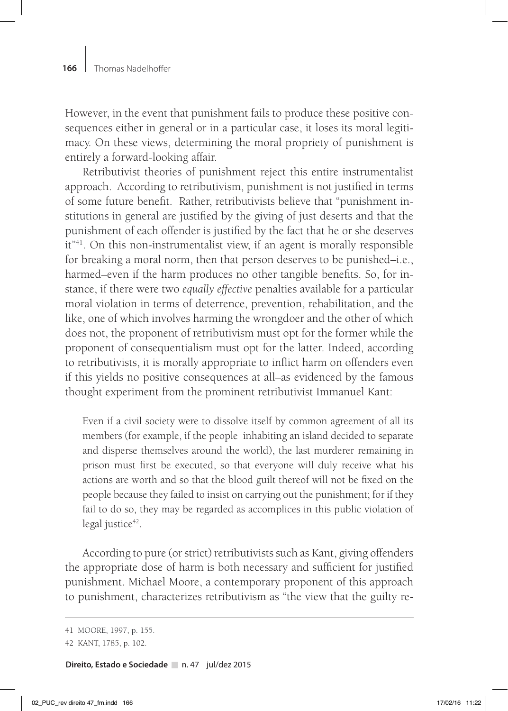However, in the event that punishment fails to produce these positive consequences either in general or in a particular case, it loses its moral legitimacy. On these views, determining the moral propriety of punishment is entirely a forward-looking affair.

Retributivist theories of punishment reject this entire instrumentalist approach. According to retributivism, punishment is not justified in terms of some future benefit. Rather, retributivists believe that "punishment institutions in general are justified by the giving of just deserts and that the punishment of each offender is justified by the fact that he or she deserves it"41. On this non-instrumentalist view, if an agent is morally responsible for breaking a moral norm, then that person deserves to be punished–i.e., harmed–even if the harm produces no other tangible benefits. So, for instance, if there were two *equally effective* penalties available for a particular moral violation in terms of deterrence, prevention, rehabilitation, and the like, one of which involves harming the wrongdoer and the other of which does not, the proponent of retributivism must opt for the former while the proponent of consequentialism must opt for the latter. Indeed, according to retributivists, it is morally appropriate to inflict harm on offenders even if this yields no positive consequences at all–as evidenced by the famous thought experiment from the prominent retributivist Immanuel Kant:

Even if a civil society were to dissolve itself by common agreement of all its members (for example, if the people inhabiting an island decided to separate and disperse themselves around the world), the last murderer remaining in prison must first be executed, so that everyone will duly receive what his actions are worth and so that the blood guilt thereof will not be fixed on the people because they failed to insist on carrying out the punishment; for if they fail to do so, they may be regarded as accomplices in this public violation of legal justice $42$ .

According to pure (or strict) retributivists such as Kant, giving offenders the appropriate dose of harm is both necessary and sufficient for justified punishment. Michael Moore, a contemporary proponent of this approach to punishment, characterizes retributivism as "the view that the guilty re-

<sup>41</sup> MOORE, 1997, p. 155.

<sup>42</sup> KANT, 1785, p. 102.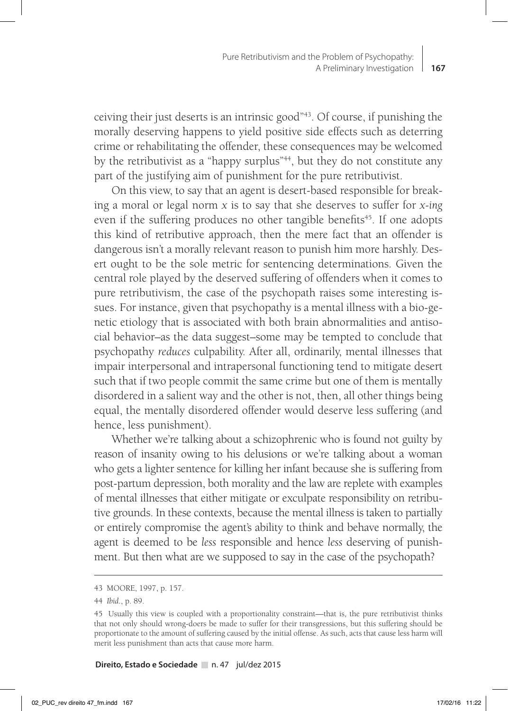ceiving their just deserts is an intrinsic good"43. Of course, if punishing the morally deserving happens to yield positive side effects such as deterring crime or rehabilitating the offender, these consequences may be welcomed by the retributivist as a "happy surplus"<sup>44</sup>, but they do not constitute any part of the justifying aim of punishment for the pure retributivist.

On this view, to say that an agent is desert-based responsible for breaking a moral or legal norm *x* is to say that she deserves to suffer for *x-ing* even if the suffering produces no other tangible benefits<sup>45</sup>. If one adopts this kind of retributive approach, then the mere fact that an offender is dangerous isn't a morally relevant reason to punish him more harshly. Desert ought to be the sole metric for sentencing determinations. Given the central role played by the deserved suffering of offenders when it comes to pure retributivism, the case of the psychopath raises some interesting issues. For instance, given that psychopathy is a mental illness with a bio-genetic etiology that is associated with both brain abnormalities and antisocial behavior–as the data suggest–some may be tempted to conclude that psychopathy *reduces* culpability. After all, ordinarily, mental illnesses that impair interpersonal and intrapersonal functioning tend to mitigate desert such that if two people commit the same crime but one of them is mentally disordered in a salient way and the other is not, then, all other things being equal, the mentally disordered offender would deserve less suffering (and hence, less punishment).

Whether we're talking about a schizophrenic who is found not guilty by reason of insanity owing to his delusions or we're talking about a woman who gets a lighter sentence for killing her infant because she is suffering from post-partum depression, both morality and the law are replete with examples of mental illnesses that either mitigate or exculpate responsibility on retributive grounds. In these contexts, because the mental illness is taken to partially or entirely compromise the agent's ability to think and behave normally, the agent is deemed to be *less* responsible and hence *less* deserving of punishment. But then what are we supposed to say in the case of the psychopath?

<sup>43</sup> MOORE, 1997, p. 157.

<sup>44</sup> *Ibid*., p. 89.

<sup>45</sup> Usually this view is coupled with a proportionality constraint—that is, the pure retributivist thinks that not only should wrong-doers be made to suffer for their transgressions, but this suffering should be proportionate to the amount of suffering caused by the initial offense. As such, acts that cause less harm will merit less punishment than acts that cause more harm.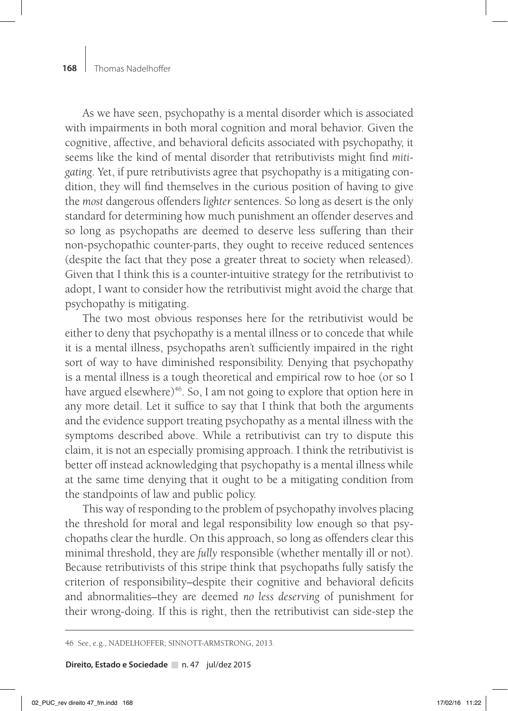As we have seen, psychopathy is a mental disorder which is associated with impairments in both moral cognition and moral behavior. Given the cognitive, affective, and behavioral deficits associated with psychopathy, it seems like the kind of mental disorder that retributivists might find *mitigating*. Yet, if pure retributivists agree that psychopathy is a mitigating condition, they will find themselves in the curious position of having to give the *most* dangerous offenders *lighter* sentences. So long as desert is the only standard for determining how much punishment an offender deserves and so long as psychopaths are deemed to deserve less suffering than their non-psychopathic counter-parts, they ought to receive reduced sentences (despite the fact that they pose a greater threat to society when released). Given that I think this is a counter-intuitive strategy for the retributivist to adopt, I want to consider how the retributivist might avoid the charge that psychopathy is mitigating.

The two most obvious responses here for the retributivist would be either to deny that psychopathy is a mental illness or to concede that while it is a mental illness, psychopaths aren't sufficiently impaired in the right sort of way to have diminished responsibility. Denying that psychopathy is a mental illness is a tough theoretical and empirical row to hoe (or so I have argued elsewhere) $46$ . So, I am not going to explore that option here in any more detail. Let it suffice to say that I think that both the arguments and the evidence support treating psychopathy as a mental illness with the symptoms described above. While a retributivist can try to dispute this claim, it is not an especially promising approach. I think the retributivist is better off instead acknowledging that psychopathy is a mental illness while at the same time denying that it ought to be a mitigating condition from the standpoints of law and public policy.

This way of responding to the problem of psychopathy involves placing the threshold for moral and legal responsibility low enough so that psychopaths clear the hurdle. On this approach, so long as offenders clear this minimal threshold, they are *fully* responsible (whether mentally ill or not). Because retributivists of this stripe think that psychopaths fully satisfy the criterion of responsibility–despite their cognitive and behavioral deficits and abnormalities–they are deemed *no less deserving* of punishment for their wrong-doing. If this is right, then the retributivist can side-step the

46 See, e.g., NADELHOFFER; SINNOTT-ARMSTRONG, 2013.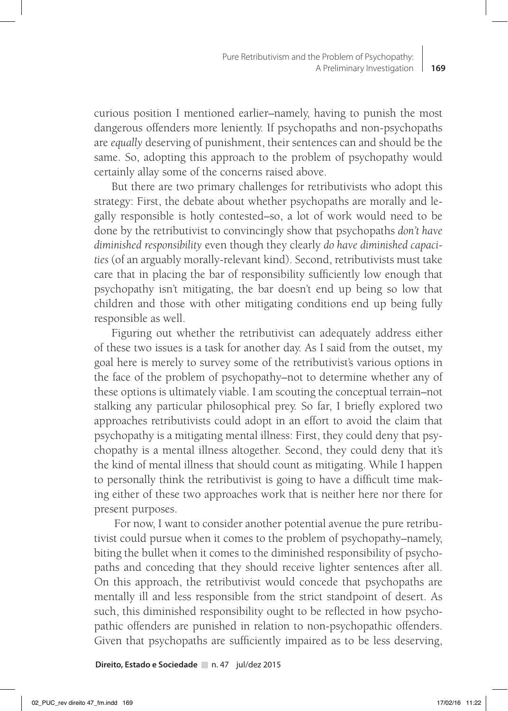curious position I mentioned earlier–namely, having to punish the most dangerous offenders more leniently. If psychopaths and non-psychopaths are *equally* deserving of punishment, their sentences can and should be the same. So, adopting this approach to the problem of psychopathy would certainly allay some of the concerns raised above.

But there are two primary challenges for retributivists who adopt this strategy: First, the debate about whether psychopaths are morally and legally responsible is hotly contested–so, a lot of work would need to be done by the retributivist to convincingly show that psychopaths *don't have diminished responsibility* even though they clearly *do have diminished capacities* (of an arguably morally-relevant kind). Second, retributivists must take care that in placing the bar of responsibility sufficiently low enough that psychopathy isn't mitigating, the bar doesn't end up being so low that children and those with other mitigating conditions end up being fully responsible as well.

Figuring out whether the retributivist can adequately address either of these two issues is a task for another day. As I said from the outset, my goal here is merely to survey some of the retributivist's various options in the face of the problem of psychopathy–not to determine whether any of these options is ultimately viable. I am scouting the conceptual terrain–not stalking any particular philosophical prey. So far, I briefly explored two approaches retributivists could adopt in an effort to avoid the claim that psychopathy is a mitigating mental illness: First, they could deny that psychopathy is a mental illness altogether. Second, they could deny that it's the kind of mental illness that should count as mitigating. While I happen to personally think the retributivist is going to have a difficult time making either of these two approaches work that is neither here nor there for present purposes.

 For now, I want to consider another potential avenue the pure retributivist could pursue when it comes to the problem of psychopathy–namely, biting the bullet when it comes to the diminished responsibility of psychopaths and conceding that they should receive lighter sentences after all. On this approach, the retributivist would concede that psychopaths are mentally ill and less responsible from the strict standpoint of desert. As such, this diminished responsibility ought to be reflected in how psychopathic offenders are punished in relation to non-psychopathic offenders. Given that psychopaths are sufficiently impaired as to be less deserving,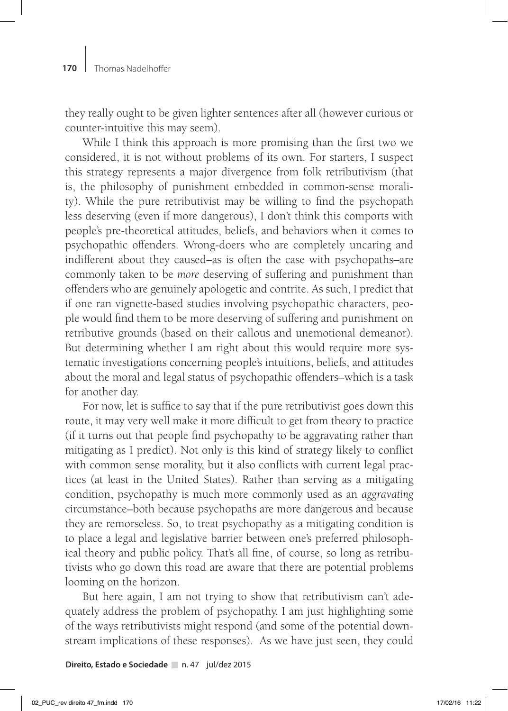they really ought to be given lighter sentences after all (however curious or counter-intuitive this may seem).

While I think this approach is more promising than the first two we considered, it is not without problems of its own. For starters, I suspect this strategy represents a major divergence from folk retributivism (that is, the philosophy of punishment embedded in common-sense morality). While the pure retributivist may be willing to find the psychopath less deserving (even if more dangerous), I don't think this comports with people's pre-theoretical attitudes, beliefs, and behaviors when it comes to psychopathic offenders. Wrong-doers who are completely uncaring and indifferent about they caused–as is often the case with psychopaths–are commonly taken to be *more* deserving of suffering and punishment than offenders who are genuinely apologetic and contrite. As such, I predict that if one ran vignette-based studies involving psychopathic characters, people would find them to be more deserving of suffering and punishment on retributive grounds (based on their callous and unemotional demeanor). But determining whether I am right about this would require more systematic investigations concerning people's intuitions, beliefs, and attitudes about the moral and legal status of psychopathic offenders–which is a task for another day.

For now, let is suffice to say that if the pure retributivist goes down this route, it may very well make it more difficult to get from theory to practice (if it turns out that people find psychopathy to be aggravating rather than mitigating as I predict). Not only is this kind of strategy likely to conflict with common sense morality, but it also conflicts with current legal practices (at least in the United States). Rather than serving as a mitigating condition, psychopathy is much more commonly used as an *aggravating* circumstance–both because psychopaths are more dangerous and because they are remorseless. So, to treat psychopathy as a mitigating condition is to place a legal and legislative barrier between one's preferred philosophical theory and public policy. That's all fine, of course, so long as retributivists who go down this road are aware that there are potential problems looming on the horizon.

But here again, I am not trying to show that retributivism can't adequately address the problem of psychopathy. I am just highlighting some of the ways retributivists might respond (and some of the potential downstream implications of these responses). As we have just seen, they could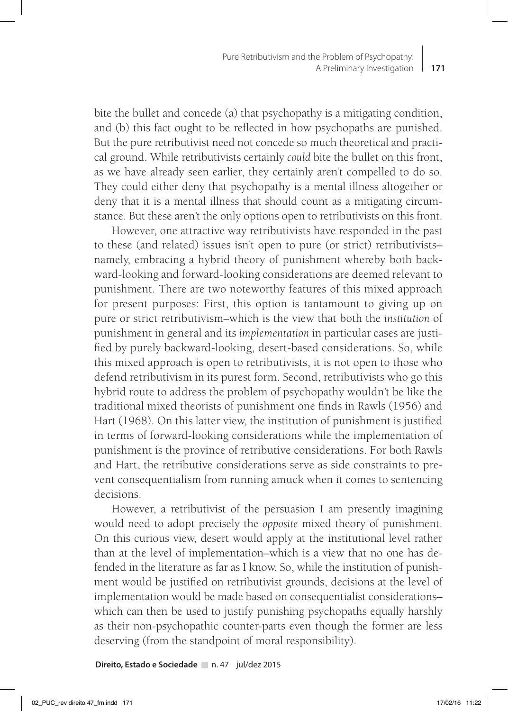bite the bullet and concede (a) that psychopathy is a mitigating condition, and (b) this fact ought to be reflected in how psychopaths are punished. But the pure retributivist need not concede so much theoretical and practical ground. While retributivists certainly *could* bite the bullet on this front, as we have already seen earlier, they certainly aren't compelled to do so. They could either deny that psychopathy is a mental illness altogether or deny that it is a mental illness that should count as a mitigating circumstance. But these aren't the only options open to retributivists on this front.

However, one attractive way retributivists have responded in the past to these (and related) issues isn't open to pure (or strict) retributivists– namely, embracing a hybrid theory of punishment whereby both backward-looking and forward-looking considerations are deemed relevant to punishment. There are two noteworthy features of this mixed approach for present purposes: First, this option is tantamount to giving up on pure or strict retributivism–which is the view that both the *institution* of punishment in general and its *implementation* in particular cases are justified by purely backward-looking, desert-based considerations. So, while this mixed approach is open to retributivists, it is not open to those who defend retributivism in its purest form. Second, retributivists who go this hybrid route to address the problem of psychopathy wouldn't be like the traditional mixed theorists of punishment one finds in Rawls (1956) and Hart (1968). On this latter view, the institution of punishment is justified in terms of forward-looking considerations while the implementation of punishment is the province of retributive considerations. For both Rawls and Hart, the retributive considerations serve as side constraints to prevent consequentialism from running amuck when it comes to sentencing decisions.

However, a retributivist of the persuasion I am presently imagining would need to adopt precisely the *opposite* mixed theory of punishment. On this curious view, desert would apply at the institutional level rather than at the level of implementation–which is a view that no one has defended in the literature as far as I know. So, while the institution of punishment would be justified on retributivist grounds, decisions at the level of implementation would be made based on consequentialist considerations– which can then be used to justify punishing psychopaths equally harshly as their non-psychopathic counter-parts even though the former are less deserving (from the standpoint of moral responsibility).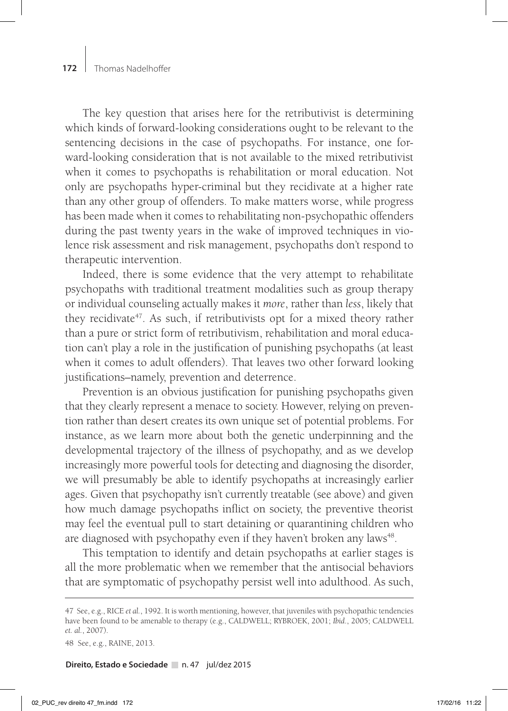The key question that arises here for the retributivist is determining which kinds of forward-looking considerations ought to be relevant to the sentencing decisions in the case of psychopaths. For instance, one forward-looking consideration that is not available to the mixed retributivist when it comes to psychopaths is rehabilitation or moral education. Not only are psychopaths hyper-criminal but they recidivate at a higher rate than any other group of offenders. To make matters worse, while progress has been made when it comes to rehabilitating non-psychopathic offenders during the past twenty years in the wake of improved techniques in violence risk assessment and risk management, psychopaths don't respond to therapeutic intervention.

Indeed, there is some evidence that the very attempt to rehabilitate psychopaths with traditional treatment modalities such as group therapy or individual counseling actually makes it *more*, rather than *less*, likely that they recidivate<sup>47</sup>. As such, if retributivists opt for a mixed theory rather than a pure or strict form of retributivism, rehabilitation and moral education can't play a role in the justification of punishing psychopaths (at least when it comes to adult offenders). That leaves two other forward looking justifications–namely, prevention and deterrence.

Prevention is an obvious justification for punishing psychopaths given that they clearly represent a menace to society. However, relying on prevention rather than desert creates its own unique set of potential problems. For instance, as we learn more about both the genetic underpinning and the developmental trajectory of the illness of psychopathy, and as we develop increasingly more powerful tools for detecting and diagnosing the disorder, we will presumably be able to identify psychopaths at increasingly earlier ages. Given that psychopathy isn't currently treatable (see above) and given how much damage psychopaths inflict on society, the preventive theorist may feel the eventual pull to start detaining or quarantining children who are diagnosed with psychopathy even if they haven't broken any laws<sup>48</sup>.

This temptation to identify and detain psychopaths at earlier stages is all the more problematic when we remember that the antisocial behaviors that are symptomatic of psychopathy persist well into adulthood. As such,

<sup>47</sup> See, e.g., RICE *et al.*, 1992. It is worth mentioning, however, that juveniles with psychopathic tendencies have been found to be amenable to therapy (e.g., CALDWELL; RYBROEK, 2001; *Ibid*., 2005; CALDWELL *et. al.*, 2007).

<sup>48</sup> See, e.g., RAINE, 2013.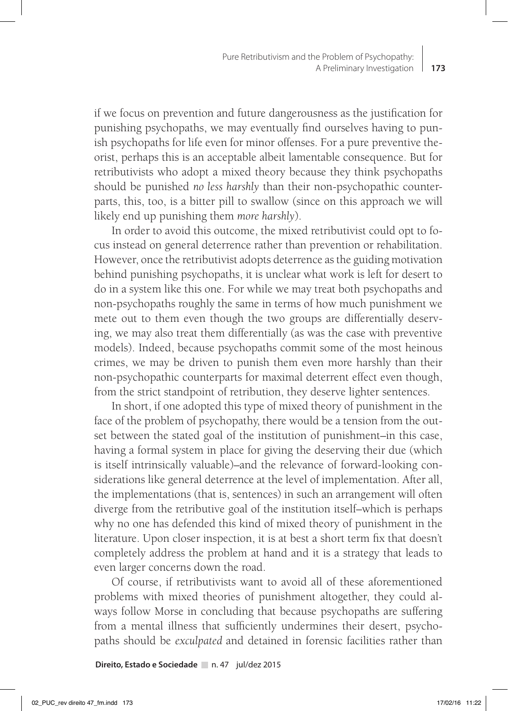if we focus on prevention and future dangerousness as the justification for punishing psychopaths, we may eventually find ourselves having to punish psychopaths for life even for minor offenses. For a pure preventive theorist, perhaps this is an acceptable albeit lamentable consequence. But for retributivists who adopt a mixed theory because they think psychopaths should be punished *no less harshly* than their non-psychopathic counterparts, this, too, is a bitter pill to swallow (since on this approach we will likely end up punishing them *more harshly*).

In order to avoid this outcome, the mixed retributivist could opt to focus instead on general deterrence rather than prevention or rehabilitation. However, once the retributivist adopts deterrence as the guiding motivation behind punishing psychopaths, it is unclear what work is left for desert to do in a system like this one. For while we may treat both psychopaths and non-psychopaths roughly the same in terms of how much punishment we mete out to them even though the two groups are differentially deserving, we may also treat them differentially (as was the case with preventive models). Indeed, because psychopaths commit some of the most heinous crimes, we may be driven to punish them even more harshly than their non-psychopathic counterparts for maximal deterrent effect even though, from the strict standpoint of retribution, they deserve lighter sentences.

In short, if one adopted this type of mixed theory of punishment in the face of the problem of psychopathy, there would be a tension from the outset between the stated goal of the institution of punishment–in this case, having a formal system in place for giving the deserving their due (which is itself intrinsically valuable)–and the relevance of forward-looking considerations like general deterrence at the level of implementation. After all, the implementations (that is, sentences) in such an arrangement will often diverge from the retributive goal of the institution itself–which is perhaps why no one has defended this kind of mixed theory of punishment in the literature. Upon closer inspection, it is at best a short term fix that doesn't completely address the problem at hand and it is a strategy that leads to even larger concerns down the road.

Of course, if retributivists want to avoid all of these aforementioned problems with mixed theories of punishment altogether, they could always follow Morse in concluding that because psychopaths are suffering from a mental illness that sufficiently undermines their desert, psychopaths should be *exculpated* and detained in forensic facilities rather than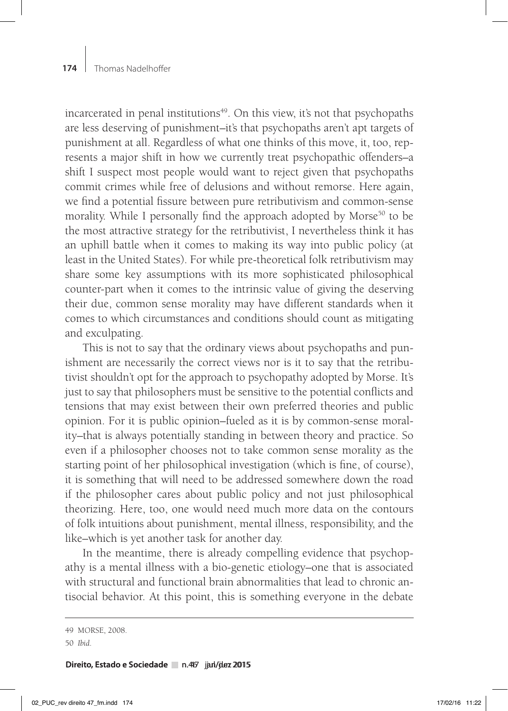incarcerated in penal institutions<sup>49</sup>. On this view, it's not that psychopaths are less deserving of punishment–it's that psychopaths aren't apt targets of punishment at all. Regardless of what one thinks of this move, it, too, represents a major shift in how we currently treat psychopathic offenders–a shift I suspect most people would want to reject given that psychopaths commit crimes while free of delusions and without remorse. Here again, we find a potential fissure between pure retributivism and common-sense morality. While I personally find the approach adopted by Morse<sup>50</sup> to be the most attractive strategy for the retributivist, I nevertheless think it has an uphill battle when it comes to making its way into public policy (at least in the United States). For while pre-theoretical folk retributivism may share some key assumptions with its more sophisticated philosophical counter-part when it comes to the intrinsic value of giving the deserving their due, common sense morality may have different standards when it comes to which circumstances and conditions should count as mitigating and exculpating.

This is not to say that the ordinary views about psychopaths and punishment are necessarily the correct views nor is it to say that the retributivist shouldn't opt for the approach to psychopathy adopted by Morse. It's just to say that philosophers must be sensitive to the potential conflicts and tensions that may exist between their own preferred theories and public opinion. For it is public opinion–fueled as it is by common-sense morality–that is always potentially standing in between theory and practice. So even if a philosopher chooses not to take common sense morality as the starting point of her philosophical investigation (which is fine, of course), it is something that will need to be addressed somewhere down the road if the philosopher cares about public policy and not just philosophical theorizing. Here, too, one would need much more data on the contours of folk intuitions about punishment, mental illness, responsibility, and the like–which is yet another task for another day.

In the meantime, there is already compelling evidence that psychopathy is a mental illness with a bio-genetic etiology–one that is associated with structural and functional brain abnormalities that lead to chronic antisocial behavior. At this point, this is something everyone in the debate

**Direito, Estado e Sociedade** n.467 jan/juez 2015

<sup>49</sup> MORSE, 2008.

<sup>50</sup> *Ibid*.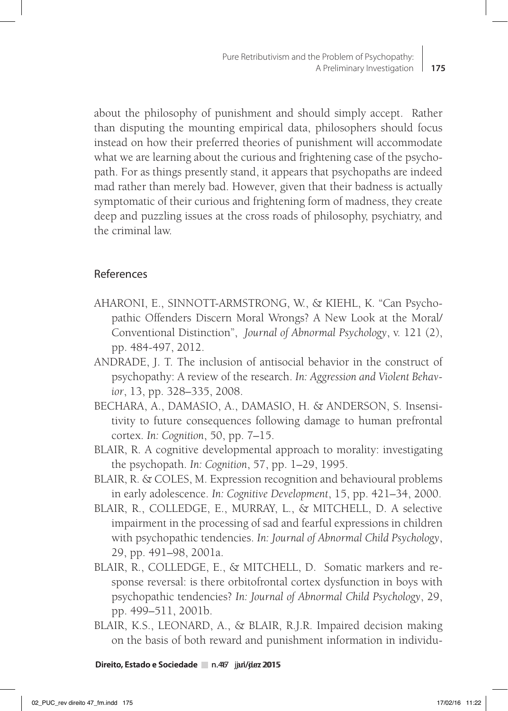about the philosophy of punishment and should simply accept. Rather than disputing the mounting empirical data, philosophers should focus instead on how their preferred theories of punishment will accommodate what we are learning about the curious and frightening case of the psychopath. For as things presently stand, it appears that psychopaths are indeed mad rather than merely bad. However, given that their badness is actually symptomatic of their curious and frightening form of madness, they create deep and puzzling issues at the cross roads of philosophy, psychiatry, and the criminal law.

### References

- AHARONI, E., SINNOTT-ARMSTRONG, W., & KIEHL, K. "Can Psychopathic Offenders Discern Moral Wrongs? A New Look at the Moral/ Conventional Distinction", *Journal of Abnormal Psychology*, v. 121 (2), pp. 484-497, 2012.
- ANDRADE, J. T. The inclusion of antisocial behavior in the construct of psychopathy: A review of the research. *In: Aggression and Violent Behavior*, 13, pp. 328–335, 2008.
- BECHARA, A., DAMASIO, A., DAMASIO, H. & ANDERSON, S. Insensitivity to future consequences following damage to human prefrontal cortex. *In: Cognition*, 50, pp. 7–15.
- BLAIR, R. A cognitive developmental approach to morality: investigating the psychopath. *In: Cognition*, 57, pp. 1–29, 1995.
- BLAIR, R. & COLES, M. Expression recognition and behavioural problems in early adolescence. *In: Cognitive Development*, 15, pp. 421–34, 2000.
- BLAIR, R., COLLEDGE, E., MURRAY, L., & MITCHELL, D. A selective impairment in the processing of sad and fearful expressions in children with psychopathic tendencies. *In: Journal of Abnormal Child Psychology*, 29, pp. 491–98, 2001a.
- BLAIR, R., COLLEDGE, E., & MITCHELL, D. Somatic markers and response reversal: is there orbitofrontal cortex dysfunction in boys with psychopathic tendencies? *In: Journal of Abnormal Child Psychology*, 29, pp. 499–511, 2001b.
- BLAIR, K.S., LEONARD, A., & BLAIR, R.J.R. Impaired decision making on the basis of both reward and punishment information in individu-

**Direito, Estado e Sociedade** n.467 jan/juez 2015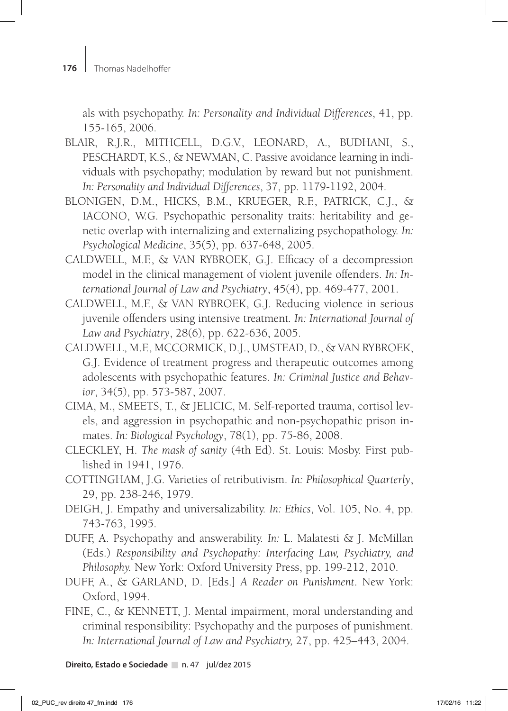als with psychopathy. *In: Personality and Individual Differences*, 41, pp. 155-165, 2006.

- BLAIR, R.J.R., MITHCELL, D.G.V., LEONARD, A., BUDHANI, S., PESCHARDT, K.S., & NEWMAN, C. Passive avoidance learning in individuals with psychopathy; modulation by reward but not punishment. *In: Personality and Individual Differences*, 37, pp. 1179-1192, 2004.
- BLONIGEN, D.M., HICKS, B.M., KRUEGER, R.F., PATRICK, C.J., & IACONO, W.G. Psychopathic personality traits: heritability and genetic overlap with internalizing and externalizing psychopathology. *In: Psychological Medicine*, 35(5), pp. 637-648, 2005.
- CALDWELL, M.F., & VAN RYBROEK, G.J. Efficacy of a decompression model in the clinical management of violent juvenile offenders. *In: International Journal of Law and Psychiatry*, 45(4), pp. 469-477, 2001.
- CALDWELL, M.F., & VAN RYBROEK, G.J. Reducing violence in serious juvenile offenders using intensive treatment*. In: International Journal of Law and Psychiatry*, 28(6), pp. 622-636, 2005.
- CALDWELL, M.F., MCCORMICK, D.J., UMSTEAD, D., & VAN RYBROEK, G.J. Evidence of treatment progress and therapeutic outcomes among adolescents with psychopathic features. *In: Criminal Justice and Behavior*, 34(5), pp. 573-587, 2007.
- CIMA, M., SMEETS, T., & JELICIC, M. Self-reported trauma, cortisol levels, and aggression in psychopathic and non-psychopathic prison inmates. *In: Biological Psychology*, 78(1), pp. 75-86, 2008.
- CLECKLEY, H. *The mask of sanity* (4th Ed). St. Louis: Mosby. First published in 1941, 1976.
- COTTINGHAM, J.G. Varieties of retributivism. *In: Philosophical Quarterly*, 29, pp. 238-246, 1979.
- DEIGH, J. Empathy and universalizability. *In: Ethics*, Vol. 105, No. 4, pp. 743-763, 1995.
- DUFF, A. Psychopathy and answerability. *In:* L. Malatesti & J. McMillan (Eds.) *Responsibility and Psychopathy: Interfacing Law, Psychiatry, and Philosophy.* New York: Oxford University Press, pp. 199-212, 2010.
- DUFF, A., & GARLAND, D. [Eds.] *A Reader on Punishment*. New York: Oxford, 1994.
- FINE, C., & KENNETT, J. Mental impairment, moral understanding and criminal responsibility: Psychopathy and the purposes of punishment. *In: International Journal of Law and Psychiatry,* 27, pp. 425–443, 2004.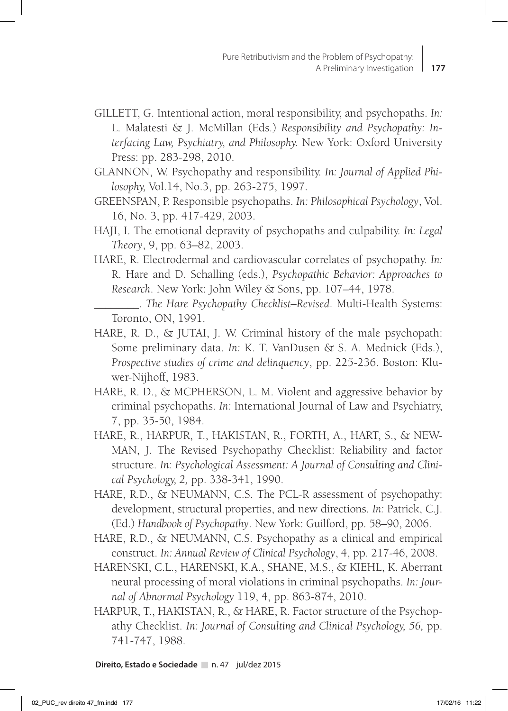- GILLETT, G. Intentional action, moral responsibility, and psychopaths. *In:* L. Malatesti & J. McMillan (Eds.) *Responsibility and Psychopathy: Interfacing Law, Psychiatry, and Philosophy.* New York: Oxford University Press: pp. 283-298, 2010.
- GLANNON, W. Psychopathy and responsibility. *In: Journal of Applied Philosophy,* Vol.14, No.3, pp. 263-275, 1997.
- GREENSPAN, P. Responsible psychopaths. *In: Philosophical Psychology*, Vol. 16, No. 3, pp. 417-429, 2003.
- HAJI, I. The emotional depravity of psychopaths and culpability. *In: Legal Theory*, 9, pp. 63–82, 2003.
- HARE, R. Electrodermal and cardiovascular correlates of psychopathy. *In:* R. Hare and D. Schalling (eds.), *Psychopathic Behavior: Approaches to Research*. New York: John Wiley & Sons, pp. 107–44, 1978.
	- \_\_\_\_\_\_\_\_. *The Hare Psychopathy Checklist–Revised*. Multi-Health Systems: Toronto, ON, 1991.
- HARE, R. D., & JUTAI, J. W. Criminal history of the male psychopath: Some preliminary data. *In:* K. T. VanDusen & S. A. Mednick (Eds.), *Prospective studies of crime and delinquency*, pp. 225-236. Boston: Kluwer-Nijhoff, 1983.
- HARE, R. D., & MCPHERSON, L. M. Violent and aggressive behavior by criminal psychopaths. *In:* International Journal of Law and Psychiatry, 7, pp. 35-50, 1984.
- HARE, R., HARPUR, T., HAKISTAN, R., FORTH, A., HART, S., & NEW-MAN, J. The Revised Psychopathy Checklist: Reliability and factor structure. *In: Psychological Assessment: A Journal of Consulting and Clinical Psychology, 2,* pp. 338-341, 1990.
- HARE, R.D., & NEUMANN, C.S. The PCL-R assessment of psychopathy: development, structural properties, and new directions. *In:* Patrick, C.J. (Ed.) *Handbook of Psychopathy*. New York: Guilford, pp. 58–90, 2006.
- HARE, R.D., & NEUMANN, C.S. Psychopathy as a clinical and empirical construct. *In: Annual Review of Clinical Psychology*, 4, pp. 217-46, 2008.
- HARENSKI, C.L., HARENSKI, K.A., SHANE, M.S., & KIEHL, K. Aberrant neural processing of moral violations in criminal psychopaths. *In: Journal of Abnormal Psychology* 119, 4, pp. 863-874, 2010.
- HARPUR, T., HAKISTAN, R., & HARE, R. Factor structure of the Psychopathy Checklist. *In: Journal of Consulting and Clinical Psychology, 56,* pp. 741-747, 1988.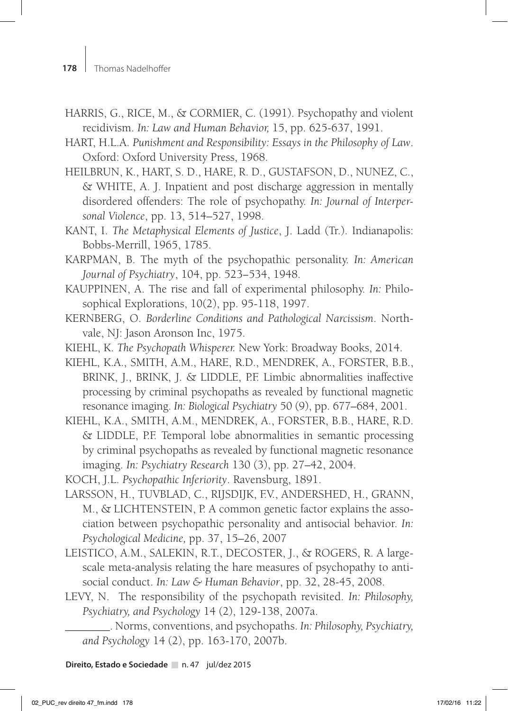- HARRIS, G., RICE, M., & CORMIER, C. (1991). Psychopathy and violent recidivism. *In: Law and Human Behavior,* 15, pp. 625-637, 1991.
- HART, H.L.A. *Punishment and Responsibility: Essays in the Philosophy of Law*. Oxford: Oxford University Press, 1968.
- HEILBRUN, K., HART, S. D., HARE, R. D., GUSTAFSON, D., NUNEZ, C., & WHITE, A. J. Inpatient and post discharge aggression in mentally disordered offenders: The role of psychopathy. *In: Journal of Interpersonal Violence*, pp. 13, 514–527, 1998.
- KANT, I. *The Metaphysical Elements of Justice*, J. Ladd (Tr.). Indianapolis: Bobbs-Merrill, 1965, 1785.
- KARPMAN, B. The myth of the psychopathic personality. *In: American Journal of Psychiatry*, 104, pp. 523−534, 1948.
- KAUPPINEN, A. The rise and fall of experimental philosophy. *In:* Philosophical Explorations, 10(2), pp. 95-118, 1997.
- KERNBERG, O. *Borderline Conditions and Pathological Narcissism*. Northvale, NJ: Jason Aronson Inc, 1975.
- KIEHL, K. *The Psychopath Whisperer.* New York: Broadway Books, 2014.
- KIEHL, K.A., SMITH, A.M., HARE, R.D., MENDREK, A., FORSTER, B.B., BRINK, J., BRINK, J. & LIDDLE, P.F. Limbic abnormalities inaffective processing by criminal psychopaths as revealed by functional magnetic resonance imaging. *In: Biological Psychiatry* 50 (9), pp. 677–684, 2001.
- KIEHL, K.A., SMITH, A.M., MENDREK, A., FORSTER, B.B., HARE, R.D. & LIDDLE, P.F. Temporal lobe abnormalities in semantic processing by criminal psychopaths as revealed by functional magnetic resonance imaging. *In: Psychiatry Research* 130 (3), pp. 27–42, 2004.
- KOCH, J.L. *Psychopathic Inferiority*. Ravensburg, 1891.
- LARSSON, H., TUVBLAD, C., RIJSDIJK, F.V., ANDERSHED, H., GRANN, M., & LICHTENSTEIN, P. A common genetic factor explains the association between psychopathic personality and antisocial behavior. *In: Psychological Medicine,* pp. 37, 15–26, 2007
- LEISTICO, A.M., SALEKIN, R.T., DECOSTER, J., & ROGERS, R. A largescale meta-analysis relating the hare measures of psychopathy to antisocial conduct. *In: Law & Human Behavior*, pp. 32, 28-45, 2008.
- LEVY, N. The responsibility of the psychopath revisited. *In: Philosophy, Psychiatry, and Psychology* 14 (2), 129-138, 2007a.

\_\_\_\_\_\_\_\_. Norms, conventions, and psychopaths. *In: Philosophy, Psychiatry, and Psychology* 14 (2), pp. 163-170, 2007b.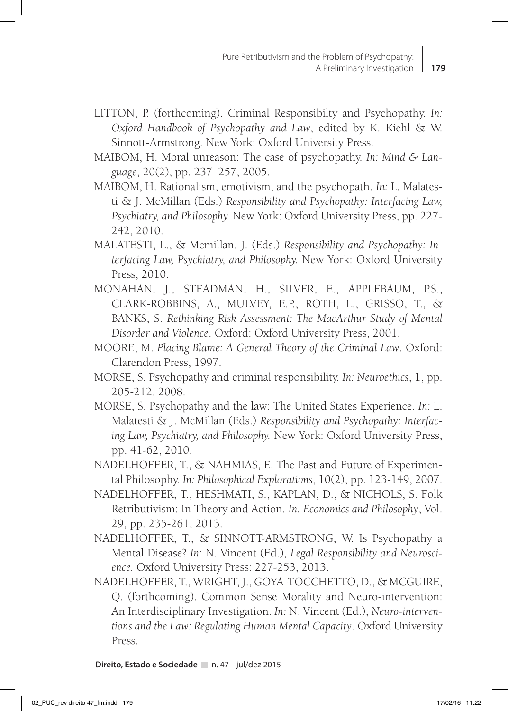- LITTON, P. (forthcoming). Criminal Responsibilty and Psychopathy. *In: Oxford Handbook of Psychopathy and Law*, edited by K. Kiehl & W. Sinnott-Armstrong. New York: Oxford University Press.
- MAIBOM, H. Moral unreason: The case of psychopathy. *In: Mind & Language*, 20(2), pp. 237–257, 2005.
- MAIBOM, H. Rationalism, emotivism, and the psychopath. *In:* L. Malatesti & J. McMillan (Eds.) *Responsibility and Psychopathy: Interfacing Law, Psychiatry, and Philosophy.* New York: Oxford University Press, pp. 227- 242, 2010.
- MALATESTI, L., & Mcmillan, J. (Eds.) *Responsibility and Psychopathy: Interfacing Law, Psychiatry, and Philosophy.* New York: Oxford University Press, 2010.
- MONAHAN, J., STEADMAN, H., SILVER, E., APPLEBAUM, P.S., CLARK-ROBBINS, A., MULVEY, E.P., ROTH, L., GRISSO, T., & BANKS, S. *Rethinking Risk Assessment: The MacArthur Study of Mental Disorder and Violence*. Oxford: Oxford University Press, 2001.
- MOORE, M. *Placing Blame: A General Theory of the Criminal Law*. Oxford: Clarendon Press, 1997.
- MORSE, S. Psychopathy and criminal responsibility. *In: Neuroethics*, 1, pp. 205-212, 2008.
- MORSE, S. Psychopathy and the law: The United States Experience. *In:* L. Malatesti & J. McMillan (Eds.) *Responsibility and Psychopathy: Interfacing Law, Psychiatry, and Philosophy.* New York: Oxford University Press, pp. 41-62, 2010.
- NADELHOFFER, T., & NAHMIAS, E. The Past and Future of Experimental Philosophy. *In: Philosophical Explorations*, 10(2), pp. 123-149, 2007.
- NADELHOFFER, T., HESHMATI, S., KAPLAN, D., & NICHOLS, S. Folk Retributivism: In Theory and Action. *In: Economics and Philosophy*, Vol. 29, pp. 235-261, 2013.
- NADELHOFFER, T., & SINNOTT-ARMSTRONG, W. Is Psychopathy a Mental Disease? *In:* N. Vincent (Ed.), *Legal Responsibility and Neuroscience.* Oxford University Press: 227-253, 2013.
- NADELHOFFER, T., WRIGHT, J., GOYA-TOCCHETTO, D., & MCGUIRE, Q. (forthcoming). Common Sense Morality and Neuro-intervention: An Interdisciplinary Investigation. *In:* N. Vincent (Ed.), *Neuro-interventions and the Law: Regulating Human Mental Capacity*. Oxford University Press.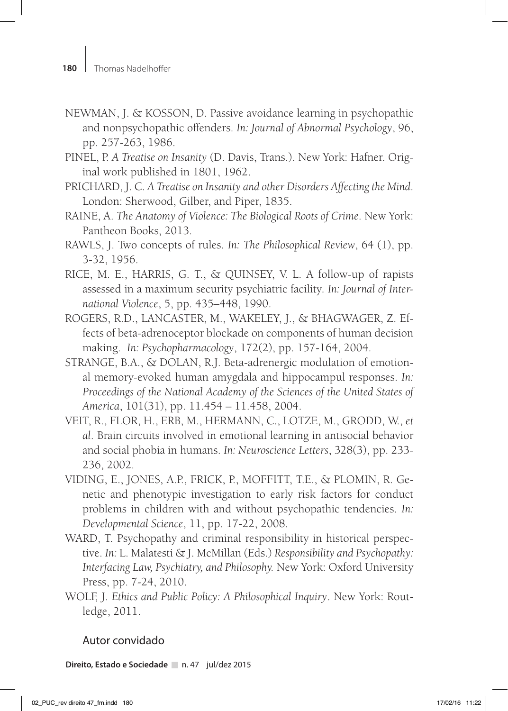- NEWMAN, J. & KOSSON, D. Passive avoidance learning in psychopathic and nonpsychopathic offenders. *In: Journal of Abnormal Psychology*, 96, pp. 257-263, 1986.
- PINEL, P. *A Treatise on Insanity* (D. Davis, Trans.). New York: Hafner. Original work published in 1801, 1962.
- PRICHARD, J. C. *A Treatise on Insanity and other Disorders Affecting the Mind*. London: Sherwood, Gilber, and Piper, 1835.
- RAINE, A. *The Anatomy of Violence: The Biological Roots of Crime*. New York: Pantheon Books, 2013.
- RAWLS, J. Two concepts of rules. *In: The Philosophical Review*, 64 (1), pp. 3-32, 1956.
- RICE, M. E., HARRIS, G. T., & QUINSEY, V. L. A follow-up of rapists assessed in a maximum security psychiatric facility*. In: Journal of International Violence*, 5, pp. 435–448, 1990.
- ROGERS, R.D., LANCASTER, M., WAKELEY, J., & BHAGWAGER, Z. Effects of beta-adrenoceptor blockade on components of human decision making. *In: Psychopharmacology*, 172(2), pp. 157-164, 2004.
- STRANGE, B.A., & DOLAN, R.J. Beta-adrenergic modulation of emotional memory-evoked human amygdala and hippocampul responses. *In: Proceedings of the National Academy of the Sciences of the United States of America*, 101(31), pp. 11.454 – 11.458, 2004.
- VEIT, R., FLOR, H., ERB, M., HERMANN, C., LOTZE, M., GRODD, W., *et al*. Brain circuits involved in emotional learning in antisocial behavior and social phobia in humans. *In: Neuroscience Letters*, 328(3), pp. 233- 236, 2002.
- VIDING, E., JONES, A.P., FRICK, P., MOFFITT, T.E., & PLOMIN, R. Genetic and phenotypic investigation to early risk factors for conduct problems in children with and without psychopathic tendencies. *In: Developmental Science*, 11, pp. 17-22, 2008.
- WARD, T. Psychopathy and criminal responsibility in historical perspective. *In:* L. Malatesti & J. McMillan (Eds.) *Responsibility and Psychopathy: Interfacing Law, Psychiatry, and Philosophy.* New York: Oxford University Press, pp. 7-24, 2010.
- WOLF, J. *Ethics and Public Policy: A Philosophical Inquiry*. New York: Routledge, 2011.

### Autor convidado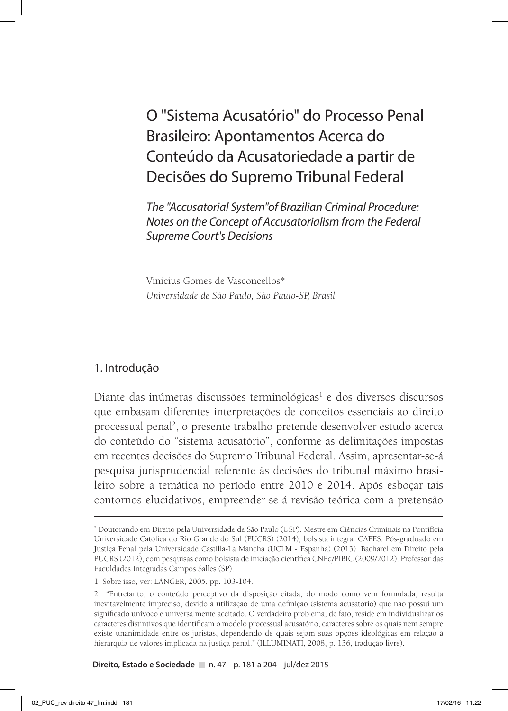O "Sistema Acusatório" do Processo Penal Brasileiro: Apontamentos Acerca do Conteúdo da Acusatoriedade a partir de Decisões do Supremo Tribunal Federal

*The "Accusatorial System"of Brazilian Criminal Procedure: Notes on the Concept of Accusatorialism from the Federal Supreme Court's Decisions*

Vinicius Gomes de Vasconcellos\* *Universidade de São Paulo, São Paulo-SP, Brasil*

#### 1. Introdução

Diante das inúmeras discussões terminológicas<sup>1</sup> e dos diversos discursos que embasam diferentes interpretações de conceitos essenciais ao direito processual penal<sup>2</sup>, o presente trabalho pretende desenvolver estudo acerca do conteúdo do "sistema acusatório", conforme as delimitações impostas em recentes decisões do Supremo Tribunal Federal. Assim, apresentar-se-á pesquisa jurisprudencial referente às decisões do tribunal máximo brasileiro sobre a temática no período entre 2010 e 2014. Após esboçar tais contornos elucidativos, empreender-se-á revisão teórica com a pretensão

**Direito, Estado e Sociedade** n. 47 p. 181 a 204 jul/dez 2015

<sup>\*</sup> Doutorando em Direito pela Universidade de São Paulo (USP). Mestre em Ciências Criminais na Pontifícia Universidade Católica do Rio Grande do Sul (PUCRS) (2014), bolsista integral CAPES. Pós-graduado em Justiça Penal pela Universidade Castilla-La Mancha (UCLM - Espanha) (2013). Bacharel em Direito pela PUCRS (2012), com pesquisas como bolsista de iniciação científica CNPq/PIBIC (2009/2012). Professor das Faculdades Integradas Campos Salles (SP).

<sup>1</sup> Sobre isso, ver: LANGER, 2005, pp. 103-104.

<sup>2 &</sup>quot;Entretanto, o conteúdo perceptivo da disposição citada, do modo como vem formulada, resulta inevitavelmente impreciso, devido à utilização de uma definição (sistema acusatório) que não possui um significado unívoco e universalmente aceitado. O verdadeiro problema, de fato, reside em individualizar os caracteres distintivos que identificam o modelo processual acusatório, caracteres sobre os quais nem sempre existe unanimidade entre os juristas, dependendo de quais sejam suas opções ideológicas em relação à hierarquia de valores implicada na justiça penal." (ILLUMINATI, 2008, p. 136, tradução livre).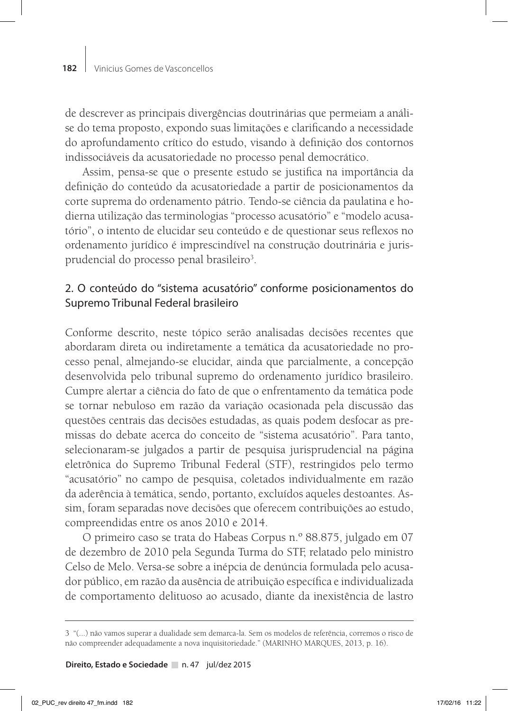de descrever as principais divergências doutrinárias que permeiam a análise do tema proposto, expondo suas limitações e clarificando a necessidade do aprofundamento crítico do estudo, visando à definição dos contornos indissociáveis da acusatoriedade no processo penal democrático.

Assim, pensa-se que o presente estudo se justifica na importância da definição do conteúdo da acusatoriedade a partir de posicionamentos da corte suprema do ordenamento pátrio. Tendo-se ciência da paulatina e hodierna utilização das terminologias "processo acusatório" e "modelo acusatório", o intento de elucidar seu conteúdo e de questionar seus reflexos no ordenamento jurídico é imprescindível na construção doutrinária e jurisprudencial do processo penal brasileiro<sup>3</sup>.

# 2. O conteúdo do "sistema acusatório" conforme posicionamentos do Supremo Tribunal Federal brasileiro

Conforme descrito, neste tópico serão analisadas decisões recentes que abordaram direta ou indiretamente a temática da acusatoriedade no processo penal, almejando-se elucidar, ainda que parcialmente, a concepção desenvolvida pelo tribunal supremo do ordenamento jurídico brasileiro. Cumpre alertar a ciência do fato de que o enfrentamento da temática pode se tornar nebuloso em razão da variação ocasionada pela discussão das questões centrais das decisões estudadas, as quais podem desfocar as premissas do debate acerca do conceito de "sistema acusatório". Para tanto, selecionaram-se julgados a partir de pesquisa jurisprudencial na página eletrônica do Supremo Tribunal Federal (STF), restringidos pelo termo "acusatório" no campo de pesquisa, coletados individualmente em razão da aderência à temática, sendo, portanto, excluídos aqueles destoantes. Assim, foram separadas nove decisões que oferecem contribuições ao estudo, compreendidas entre os anos 2010 e 2014.

O primeiro caso se trata do Habeas Corpus n.º 88.875, julgado em 07 de dezembro de 2010 pela Segunda Turma do STF, relatado pelo ministro Celso de Melo. Versa-se sobre a inépcia de denúncia formulada pelo acusador público, em razão da ausência de atribuição específica e individualizada de comportamento delituoso ao acusado, diante da inexistência de lastro

<sup>3 &</sup>quot;(...) não vamos superar a dualidade sem demarca-la. Sem os modelos de referência, corremos o risco de não compreender adequadamente a nova inquisitoriedade." (MARINHO MARQUES, 2013, p. 16).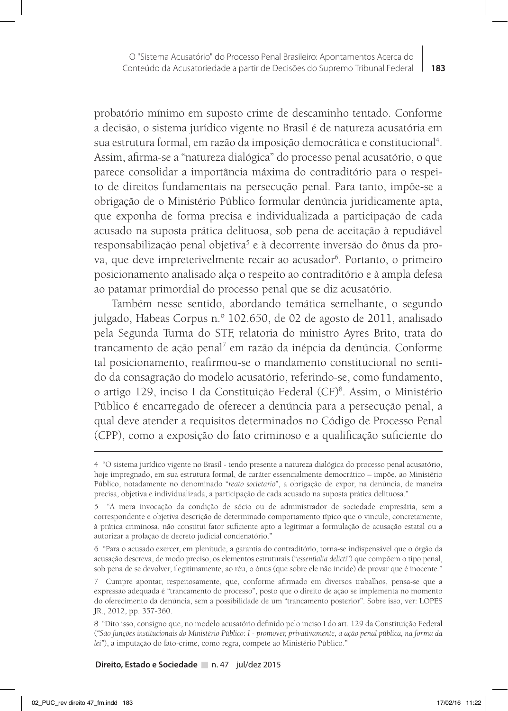probatório mínimo em suposto crime de descaminho tentado. Conforme a decisão, o sistema jurídico vigente no Brasil é de natureza acusatória em sua estrutura formal, em razão da imposição democrática e constitucional<sup>4</sup>. Assim, afirma-se a "natureza dialógica" do processo penal acusatório, o que parece consolidar a importância máxima do contraditório para o respeito de direitos fundamentais na persecução penal. Para tanto, impõe-se a obrigação de o Ministério Público formular denúncia juridicamente apta, que exponha de forma precisa e individualizada a participação de cada acusado na suposta prática delituosa, sob pena de aceitação à repudiável responsabilização penal objetiva<sup>5</sup> e à decorrente inversão do ônus da prova, que deve impreterivelmente recair ao acusador<sup>6</sup>. Portanto, o primeiro posicionamento analisado alça o respeito ao contraditório e à ampla defesa ao patamar primordial do processo penal que se diz acusatório.

Também nesse sentido, abordando temática semelhante, o segundo julgado, Habeas Corpus n.º 102.650, de 02 de agosto de 2011, analisado pela Segunda Turma do STF, relatoria do ministro Ayres Brito, trata do trancamento de ação penal<sup>7</sup> em razão da inépcia da denúncia. Conforme tal posicionamento, reafirmou-se o mandamento constitucional no sentido da consagração do modelo acusatório, referindo-se, como fundamento, o artigo 129, inciso I da Constituição Federal (CF)<sup>8</sup>. Assim, o Ministério Público é encarregado de oferecer a denúncia para a persecução penal, a qual deve atender a requisitos determinados no Código de Processo Penal (CPP), como a exposição do fato criminoso e a qualificação suficiente do

<sup>4 &</sup>quot;O sistema jurídico vigente no Brasil - tendo presente a natureza dialógica do processo penal acusatório, hoje impregnado, em sua estrutura formal, de caráter essencialmente democrático – impõe, ao Ministério Público, notadamente no denominado "*reato societario*", a obrigação de expor, na denúncia, de maneira precisa, objetiva e individualizada, a participação de cada acusado na suposta prática delituosa."

<sup>5 &</sup>quot;A mera invocação da condição de sócio ou de administrador de sociedade empresária, sem a correspondente e objetiva descrição de determinado comportamento típico que o vincule, concretamente, à prática criminosa, não constitui fator suficiente apto a legitimar a formulação de acusação estatal ou a autorizar a prolação de decreto judicial condenatório."

<sup>6 &</sup>quot;Para o acusado exercer, em plenitude, a garantia do contraditório, torna-se indispensável que o órgão da acusação descreva, de modo preciso, os elementos estruturais ("*essentialia delicti*") que compõem o tipo penal, sob pena de se devolver, ilegitimamente, ao réu, o ônus (que sobre ele não incide) de provar que é inocente."

<sup>7</sup> Cumpre apontar, respeitosamente, que, conforme afirmado em diversos trabalhos, pensa-se que a expressão adequada é "trancamento do processo", posto que o direito de ação se implementa no momento do oferecimento da denúncia, sem a possibilidade de um "trancamento posterior". Sobre isso, ver: LOPES JR., 2012, pp. 357-360.

<sup>8 &</sup>quot;Dito isso, consigno que, no modelo acusatório definido pelo inciso I do art. 129 da Constituição Federal (*"São funções institucionais do Ministério Público: I - promover, privativamente, a ação penal pública, na forma da lei"*), a imputação do fato-crime, como regra, compete ao Ministério Público."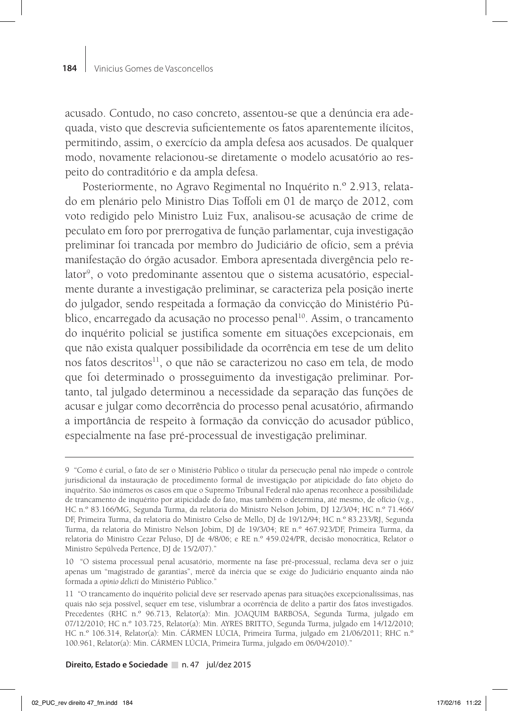acusado. Contudo, no caso concreto, assentou-se que a denúncia era adequada, visto que descrevia suficientemente os fatos aparentemente ilícitos, permitindo, assim, o exercício da ampla defesa aos acusados. De qualquer modo, novamente relacionou-se diretamente o modelo acusatório ao respeito do contraditório e da ampla defesa.

Posteriormente, no Agravo Regimental no Inquérito n.º 2.913, relatado em plenário pelo Ministro Dias Toffoli em 01 de março de 2012, com voto redigido pelo Ministro Luiz Fux, analisou-se acusação de crime de peculato em foro por prerrogativa de função parlamentar, cuja investigação preliminar foi trancada por membro do Judiciário de ofício, sem a prévia manifestação do órgão acusador. Embora apresentada divergência pelo relator<sup>9</sup>, o voto predominante assentou que o sistema acusatório, especialmente durante a investigação preliminar, se caracteriza pela posição inerte do julgador, sendo respeitada a formação da convicção do Ministério Público, encarregado da acusação no processo penal<sup>10</sup>. Assim, o trancamento do inquérito policial se justifica somente em situações excepcionais, em que não exista qualquer possibilidade da ocorrência em tese de um delito nos fatos descritos<sup>11</sup>, o que não se caracterizou no caso em tela, de modo que foi determinado o prosseguimento da investigação preliminar. Portanto, tal julgado determinou a necessidade da separação das funções de acusar e julgar como decorrência do processo penal acusatório, afirmando a importância de respeito à formação da convicção do acusador público, especialmente na fase pré-processual de investigação preliminar.

10 "O sistema processual penal acusatório, mormente na fase pré-processual, reclama deva ser o juiz apenas um "magistrado de garantias", mercê da inércia que se exige do Judiciário enquanto ainda não formada a *opinio delicti* do Ministério Público."

<sup>9 &</sup>quot;Como é curial, o fato de ser o Ministério Público o titular da persecução penal não impede o controle jurisdicional da instauração de procedimento formal de investigação por atipicidade do fato objeto do inquérito. São inúmeros os casos em que o Supremo Tribunal Federal não apenas reconhece a possibilidade de trancamento de inquérito por atipicidade do fato, mas também o determina, até mesmo, de ofício (v.g., HC n.º 83.166/MG, Segunda Turma, da relatoria do Ministro Nelson Jobim, DJ 12/3/04; HC n.º 71.466/ DF, Primeira Turma, da relatoria do Ministro Celso de Mello, DJ de 19/12/94; HC n.º 83.233/RJ, Segunda Turma, da relatoria do Ministro Nelson Jobim, DJ de 19/3/04; RE n.º 467.923/DF, Primeira Turma, da relatoria do Ministro Cezar Peluso, DJ de 4/8/06; e RE n.º 459.024/PR, decisão monocrática, Relator o Ministro Sepúlveda Pertence, DJ de 15/2/07)."

<sup>11 &</sup>quot;O trancamento do inquérito policial deve ser reservado apenas para situações excepcionalíssimas, nas quais não seja possível, sequer em tese, vislumbrar a ocorrência de delito a partir dos fatos investigados. Precedentes (RHC n.º 96.713, Relator(a): Min. JOAQUIM BARBOSA, Segunda Turma, julgado em 07/12/2010; HC n.º 103.725, Relator(a): Min. AYRES BRITTO, Segunda Turma, julgado em 14/12/2010; HC n.º 106.314, Relator(a): Min. CÁRMEN LÚCIA, Primeira Turma, julgado em 21/06/2011; RHC n.º 100.961, Relator(a): Min. CÁRMEN LÚCIA, Primeira Turma, julgado em 06/04/2010)."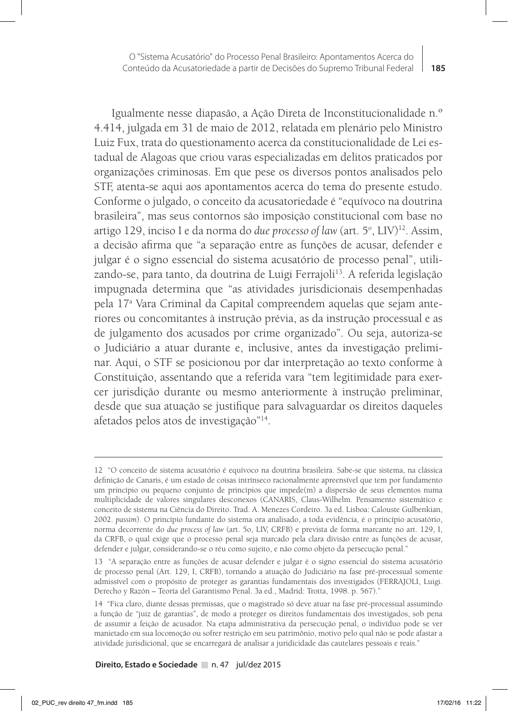Igualmente nesse diapasão, a Ação Direta de Inconstitucionalidade n.º 4.414, julgada em 31 de maio de 2012, relatada em plenário pelo Ministro Luiz Fux, trata do questionamento acerca da constitucionalidade de Lei estadual de Alagoas que criou varas especializadas em delitos praticados por organizações criminosas. Em que pese os diversos pontos analisados pelo STF, atenta-se aqui aos apontamentos acerca do tema do presente estudo. Conforme o julgado, o conceito da acusatoriedade é "equívoco na doutrina brasileira", mas seus contornos são imposição constitucional com base no artigo 129, inciso I e da norma do *due processo of law* (art. 5°, LIV)<sup>12</sup>. Assim, a decisão afirma que "a separação entre as funções de acusar, defender e julgar é o signo essencial do sistema acusatório de processo penal", utilizando-se, para tanto, da doutrina de Luigi Ferrajoli<sup>13</sup>. A referida legislação impugnada determina que "as atividades jurisdicionais desempenhadas pela 17a Vara Criminal da Capital compreendem aquelas que sejam anteriores ou concomitantes à instrução prévia, as da instrução processual e as de julgamento dos acusados por crime organizado". Ou seja, autoriza-se o Judiciário a atuar durante e, inclusive, antes da investigação preliminar. Aqui, o STF se posicionou por dar interpretação ao texto conforme à Constituição, assentando que a referida vara "tem legitimidade para exercer jurisdição durante ou mesmo anteriormente à instrução preliminar, desde que sua atuação se justifique para salvaguardar os direitos daqueles afetados pelos atos de investigação"14.

<sup>12 &</sup>quot;O conceito de sistema acusatório é equívoco na doutrina brasileira. Sabe-se que sistema, na clássica definição de Canaris, é um estado de coisas intrínseco racionalmente apreensível que tem por fundamento um princípio ou pequeno conjunto de princípios que impede(m) a dispersão de seus elementos numa multiplicidade de valores singulares desconexos (CANARIS, Claus-Wilhelm. Pensamento sistemático e conceito de sistema na Ciência do Direito. Trad. A. Menezes Cordeiro. 3a ed. Lisboa: Calouste Gulbenkian, 2002. *passim*). O princípio fundante do sistema ora analisado, a toda evidência, é o princípio acusatório, norma decorrente do *due process of law* (art. 5o, LIV, CRFB) e prevista de forma marcante no art. 129, I, da CRFB, o qual exige que o processo penal seja marcado pela clara divisão entre as funções de acusar, defender e julgar, considerando-se o réu como sujeito, e não como objeto da persecução penal."

<sup>13 &</sup>quot;A separação entre as funções de acusar defender e julgar é o signo essencial do sistema acusatório de processo penal (Art. 129, I, CRFB), tornando a atuação do Judiciário na fase pré-processual somente admissível com o propósito de proteger as garantias fundamentais dos investigados (FERRAJOLI, Luigi. Derecho y Razón – Teoría del Garantismo Penal. 3a ed., Madrid: Trotta, 1998. p. 567)."

<sup>14 &</sup>quot;Fica claro, diante dessas premissas, que o magistrado só deve atuar na fase pré-processual assumindo a função de "juiz de garantias", de modo a proteger os direitos fundamentais dos investigados, sob pena de assumir a feição de acusador. Na etapa administrativa da persecução penal, o indivíduo pode se ver manietado em sua locomoção ou sofrer restrição em seu patrimônio, motivo pelo qual não se pode afastar a atividade jurisdicional, que se encarregará de analisar a juridicidade das cautelares pessoais e reais."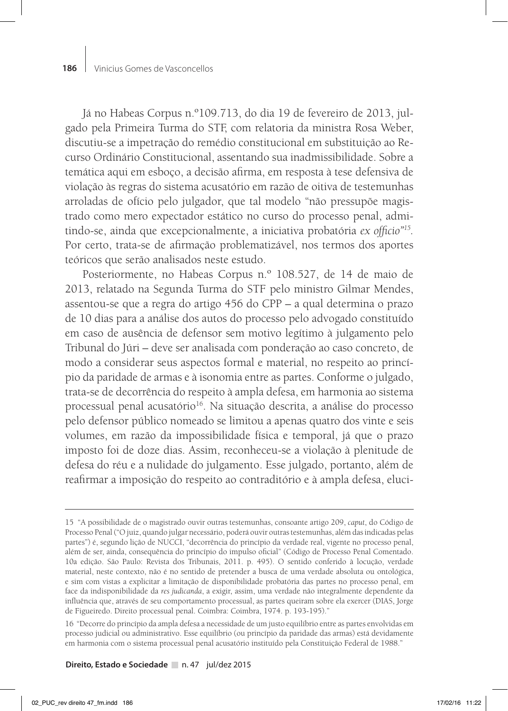Já no Habeas Corpus n.º109.713, do dia 19 de fevereiro de 2013, julgado pela Primeira Turma do STF, com relatoria da ministra Rosa Weber, discutiu-se a impetração do remédio constitucional em substituição ao Recurso Ordinário Constitucional, assentando sua inadmissibilidade. Sobre a temática aqui em esboço, a decisão afirma, em resposta à tese defensiva de violação às regras do sistema acusatório em razão de oitiva de testemunhas arroladas de ofício pelo julgador, que tal modelo "não pressupõe magistrado como mero expectador estático no curso do processo penal, admitindo-se, ainda que excepcionalmente, a iniciativa probatória *ex officio"15.*  Por certo, trata-se de afirmação problematizável, nos termos dos aportes teóricos que serão analisados neste estudo.

Posteriormente, no Habeas Corpus n.º 108.527, de 14 de maio de 2013, relatado na Segunda Turma do STF pelo ministro Gilmar Mendes, assentou-se que a regra do artigo 456 do CPP – a qual determina o prazo de 10 dias para a análise dos autos do processo pelo advogado constituído em caso de ausência de defensor sem motivo legítimo à julgamento pelo Tribunal do Júri – deve ser analisada com ponderação ao caso concreto, de modo a considerar seus aspectos formal e material, no respeito ao princípio da paridade de armas e à isonomia entre as partes. Conforme o julgado, trata-se de decorrência do respeito à ampla defesa, em harmonia ao sistema processual penal acusatório<sup>16</sup>. Na situação descrita, a análise do processo pelo defensor público nomeado se limitou a apenas quatro dos vinte e seis volumes, em razão da impossibilidade física e temporal, já que o prazo imposto foi de doze dias. Assim, reconheceu-se a violação à plenitude de defesa do réu e a nulidade do julgamento. Esse julgado, portanto, além de reafirmar a imposição do respeito ao contraditório e à ampla defesa, eluci-

<sup>15 &</sup>quot;A possibilidade de o magistrado ouvir outras testemunhas, consoante artigo 209, *caput*, do Código de Processo Penal ("O juiz, quando julgar necessário, poderá ouvir outras testemunhas, além das indicadas pelas partes") é, segundo lição de NUCCI, "decorrência do princípio da verdade real, vigente no processo penal, além de ser, ainda, consequência do princípio do impulso oficial" (Código de Processo Penal Comentado. 10a edição. São Paulo: Revista dos Tribunais, 2011. p. 495). O sentido conferido à locução, verdade material, neste contexto, não é no sentido de pretender a busca de uma verdade absoluta ou ontológica, e sim com vistas a explicitar a limitação de disponibilidade probatória das partes no processo penal, em face da indisponibilidade da *res judicanda*, a exigir, assim, uma verdade não integralmente dependente da influência que, através de seu comportamento processual, as partes queiram sobre ela exercer (DIAS, Jorge de Figueiredo. Direito processual penal. Coimbra: Coimbra, 1974. p. 193-195)."

<sup>16 &</sup>quot;Decorre do princípio da ampla defesa a necessidade de um justo equilíbrio entre as partes envolvidas em processo judicial ou administrativo. Esse equilíbrio (ou princípio da paridade das armas) está devidamente em harmonia com o sistema processual penal acusatório instituído pela Constituição Federal de 1988."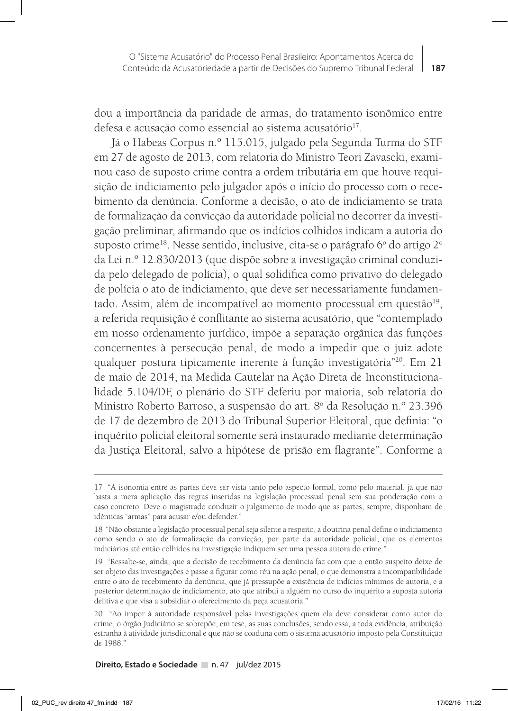dou a importância da paridade de armas, do tratamento isonômico entre defesa e acusação como essencial ao sistema acusatório $^{17}$ .

Já o Habeas Corpus n.º 115.015, julgado pela Segunda Turma do STF em 27 de agosto de 2013, com relatoria do Ministro Teori Zavascki, examinou caso de suposto crime contra a ordem tributária em que houve requisição de indiciamento pelo julgador após o início do processo com o recebimento da denúncia. Conforme a decisão, o ato de indiciamento se trata de formalização da convicção da autoridade policial no decorrer da investigação preliminar, afirmando que os indícios colhidos indicam a autoria do suposto crime<sup>18</sup>. Nesse sentido, inclusive, cita-se o parágrafo 6º do artigo 2º da Lei n.º 12.830/2013 (que dispõe sobre a investigação criminal conduzida pelo delegado de polícia), o qual solidifica como privativo do delegado de polícia o ato de indiciamento, que deve ser necessariamente fundamentado. Assim, além de incompatível ao momento processual em questão $19$ , a referida requisição é conflitante ao sistema acusatório, que "contemplado em nosso ordenamento jurídico, impõe a separação orgânica das funções concernentes à persecução penal, de modo a impedir que o juiz adote qualquer postura tipicamente inerente à função investigatória"20. Em 21 de maio de 2014, na Medida Cautelar na Ação Direta de Inconstitucionalidade 5.104/DF, o plenário do STF deferiu por maioria, sob relatoria do Ministro Roberto Barroso, a suspensão do art. 8º da Resolução n.º 23.396 de 17 de dezembro de 2013 do Tribunal Superior Eleitoral, que definia: "o inquérito policial eleitoral somente será instaurado mediante determinação da Justiça Eleitoral, salvo a hipótese de prisão em flagrante". Conforme a

<sup>17 &</sup>quot;A isonomia entre as partes deve ser vista tanto pelo aspecto formal, como pelo material, já que não basta a mera aplicação das regras inseridas na legislação processual penal sem sua ponderação com o caso concreto. Deve o magistrado conduzir o julgamento de modo que as partes, sempre, disponham de idênticas "armas" para acusar e/ou defender."

<sup>18 &</sup>quot;Não obstante a legislação processual penal seja silente a respeito, a doutrina penal define o indiciamento como sendo o ato de formalização da convicção, por parte da autoridade policial, que os elementos indiciários até então colhidos na investigação indiquem ser uma pessoa autora do crime."

<sup>19 &</sup>quot;Ressalte-se, ainda, que a decisão de recebimento da denúncia faz com que o então suspeito deixe de ser objeto das investigações e passe a figurar como réu na ação penal, o que demonstra a incompatibilidade entre o ato de recebimento da denúncia, que já pressupõe a existência de indícios mínimos de autoria, e a posterior determinação de indiciamento, ato que atribui a alguém no curso do inquérito a suposta autoria delitiva e que visa a subsidiar o oferecimento da peça acusatória."

<sup>20 &</sup>quot;Ao impor à autoridade responsável pelas investigações quem ela deve considerar como autor do crime, o órgão Judiciário se sobrepõe, em tese, as suas conclusões, sendo essa, a toda evidência, atribuição estranha à atividade jurisdicional e que não se coaduna com o sistema acusatório imposto pela Constituição de 1988."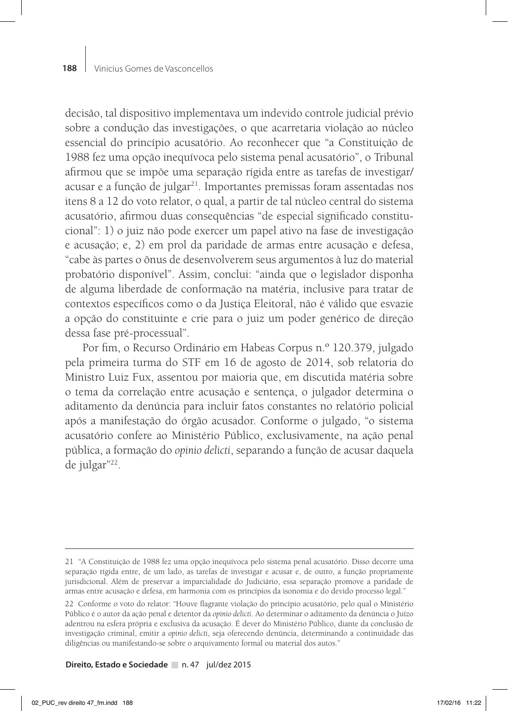decisão, tal dispositivo implementava um indevido controle judicial prévio sobre a condução das investigações, o que acarretaria violação ao núcleo essencial do princípio acusatório. Ao reconhecer que "a Constituição de 1988 fez uma opção inequívoca pelo sistema penal acusatório", o Tribunal afirmou que se impõe uma separação rígida entre as tarefas de investigar/ acusar e a função de julgar<sup>21</sup>. Importantes premissas foram assentadas nos itens 8 a 12 do voto relator, o qual, a partir de tal núcleo central do sistema acusatório, afirmou duas consequências "de especial significado constitucional": 1) o juiz não pode exercer um papel ativo na fase de investigação e acusação; e, 2) em prol da paridade de armas entre acusação e defesa, "cabe às partes o ônus de desenvolverem seus argumentos à luz do material probatório disponível". Assim, conclui: "ainda que o legislador disponha de alguma liberdade de conformação na matéria, inclusive para tratar de contextos específicos como o da Justiça Eleitoral, não é válido que esvazie a opção do constituinte e crie para o juiz um poder genérico de direção dessa fase pré-processual".

Por fim, o Recurso Ordinário em Habeas Corpus n.º 120.379, julgado pela primeira turma do STF em 16 de agosto de 2014, sob relatoria do Ministro Luiz Fux, assentou por maioria que, em discutida matéria sobre o tema da correlação entre acusação e sentença, o julgador determina o aditamento da denúncia para incluir fatos constantes no relatório policial após a manifestação do órgão acusador. Conforme o julgado, "o sistema acusatório confere ao Ministério Público, exclusivamente, na ação penal pública, a formação do *opinio delicti*, separando a função de acusar daquela de julgar"22.

<sup>21 &</sup>quot;A Constituição de 1988 fez uma opção inequívoca pelo sistema penal acusatório. Disso decorre uma separação rígida entre, de um lado, as tarefas de investigar e acusar e, de outro, a função propriamente jurisdicional. Além de preservar a imparcialidade do Judiciário, essa separação promove a paridade de armas entre acusação e defesa, em harmonia com os princípios da isonomia e do devido processo legal."

<sup>22</sup> Conforme o voto do relator: "Houve flagrante violação do princípio acusatório, pelo qual o Ministério Público é o autor da ação penal e detentor da *opinio delicti*. Ao determinar o aditamento da denúncia o Juízo adentrou na esfera própria e exclusiva da acusação. É dever do Ministério Público, diante da conclusão de investigação criminal, emitir a *opinio delicti*, seja oferecendo denúncia, determinando a continuidade das diligências ou manifestando-se sobre o arquivamento formal ou material dos autos."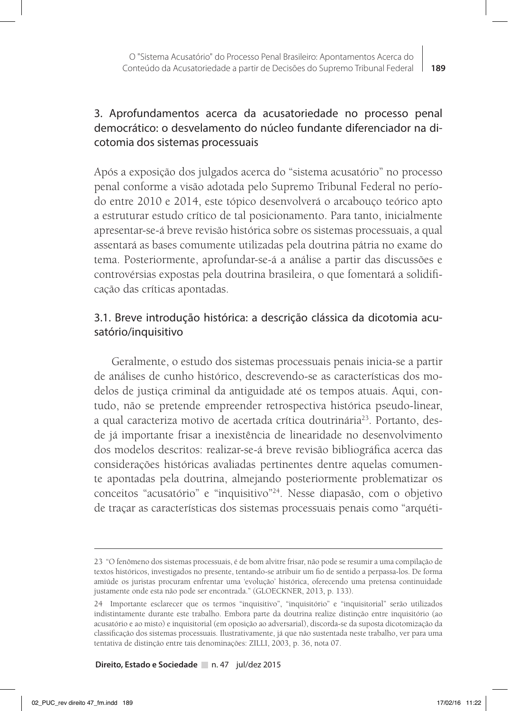# 3. Aprofundamentos acerca da acusatoriedade no processo penal democrático: o desvelamento do núcleo fundante diferenciador na dicotomia dos sistemas processuais

Após a exposição dos julgados acerca do "sistema acusatório" no processo penal conforme a visão adotada pelo Supremo Tribunal Federal no período entre 2010 e 2014, este tópico desenvolverá o arcabouço teórico apto a estruturar estudo crítico de tal posicionamento. Para tanto, inicialmente apresentar-se-á breve revisão histórica sobre os sistemas processuais, a qual assentará as bases comumente utilizadas pela doutrina pátria no exame do tema. Posteriormente, aprofundar-se-á a análise a partir das discussões e controvérsias expostas pela doutrina brasileira, o que fomentará a solidificação das críticas apontadas.

# 3.1. Breve introdução histórica: a descrição clássica da dicotomia acusatório/inquisitivo

Geralmente, o estudo dos sistemas processuais penais inicia-se a partir de análises de cunho histórico, descrevendo-se as características dos modelos de justiça criminal da antiguidade até os tempos atuais. Aqui, contudo, não se pretende empreender retrospectiva histórica pseudo-linear, a qual caracteriza motivo de acertada crítica doutrinária<sup>23</sup>. Portanto, desde já importante frisar a inexistência de linearidade no desenvolvimento dos modelos descritos: realizar-se-á breve revisão bibliográfica acerca das considerações históricas avaliadas pertinentes dentre aquelas comumente apontadas pela doutrina, almejando posteriormente problematizar os conceitos "acusatório" e "inquisitivo"24. Nesse diapasão, com o objetivo de traçar as características dos sistemas processuais penais como "arquéti-

<sup>23 &</sup>quot;O fenômeno dos sistemas processuais, é de bom alvitre frisar, não pode se resumir a uma compilação de textos históricos, investigados no presente, tentando-se atribuir um fio de sentido a perpassa-los. De forma amiúde os juristas procuram enfrentar uma 'evolução' histórica, oferecendo uma pretensa continuidade justamente onde esta não pode ser encontrada." (GLOECKNER, 2013, p. 133).

<sup>24</sup> Importante esclarecer que os termos "inquisitivo", "inquisitório" e "inquisitorial" serão utilizados indistintamente durante este trabalho. Embora parte da doutrina realize distinção entre inquisitório (ao acusatório e ao misto) e inquisitorial (em oposição ao adversarial), discorda-se da suposta dicotomização da classificação dos sistemas processuais. Ilustrativamente, já que não sustentada neste trabalho, ver para uma tentativa de distinção entre tais denominações: ZILLI, 2003, p. 36, nota 07.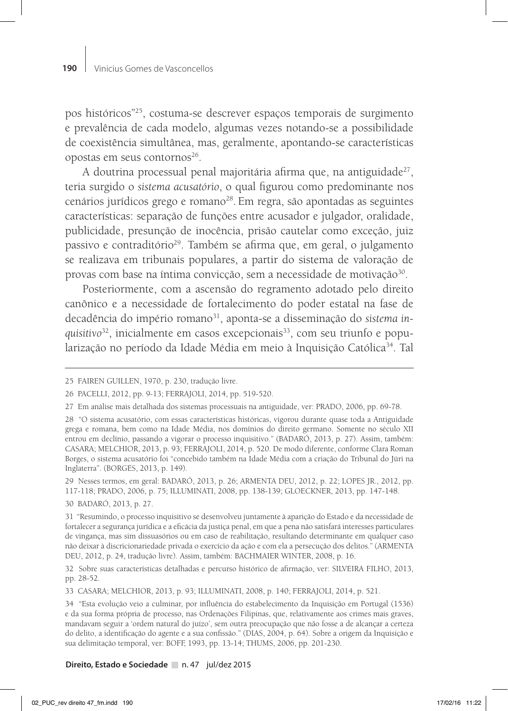pos históricos"25, costuma-se descrever espaços temporais de surgimento e prevalência de cada modelo, algumas vezes notando-se a possibilidade de coexistência simultânea, mas, geralmente, apontando-se características opostas em seus contornos<sup>26</sup>.

A doutrina processual penal majoritária afirma que, na antiguidade<sup>27</sup>, teria surgido o *sistema acusatório*, o qual figurou como predominante nos cenários jurídicos grego e romano<sup>28</sup>. Em regra, são apontadas as seguintes características: separação de funções entre acusador e julgador, oralidade, publicidade, presunção de inocência, prisão cautelar como exceção, juiz passivo e contraditório<sup>29</sup>. Também se afirma que, em geral, o julgamento se realizava em tribunais populares, a partir do sistema de valoração de provas com base na íntima convicção, sem a necessidade de motivação<sup>30</sup>.

Posteriormente, com a ascensão do regramento adotado pelo direito canônico e a necessidade de fortalecimento do poder estatal na fase de decadência do império romano31, aponta-se a disseminação do *sistema in*quisitivo<sup>32</sup>, inicialmente em casos excepcionais<sup>33</sup>, com seu triunfo e popularização no período da Idade Média em meio à Inquisição Católica<sup>34</sup>. Tal

29 Nesses termos, em geral: BADARÓ, 2013, p. 26; ARMENTA DEU, 2012, p. 22; LOPES JR., 2012, pp. 117-118; PRADO, 2006, p. 75; ILLUMINATI, 2008, pp. 138-139; GLOECKNER, 2013, pp. 147-148.

30 BADARÓ, 2013, p. 27.

32 Sobre suas características detalhadas e percurso histórico de afirmação, ver: SILVEIRA FILHO, 2013, pp. 28-52.

33 CASARA; MELCHIOR, 2013, p. 93; ILLUMINATI, 2008, p. 140; FERRAJOLI, 2014, p. 521.

<sup>25</sup> FAIREN GUILLEN, 1970, p. 230, tradução livre.

<sup>26</sup> PACELLI, 2012, pp. 9-13; FERRAJOLI, 2014, pp. 519-520.

<sup>27</sup> Em análise mais detalhada dos sistemas processuais na antiguidade, ver: PRADO, 2006, pp. 69-78.

<sup>28 &</sup>quot;O sistema acusatório, com essas características históricas, vigorou durante quase toda a Antiguidade grega e romana, bem como na Idade Média, nos domínios do direito germano. Somente no século XII entrou em declínio, passando a vigorar o processo inquisitivo." (BADARÓ, 2013, p. 27). Assim, também: CASARA; MELCHIOR, 2013, p. 93; FERRAJOLI, 2014, p. 520. De modo diferente, conforme Clara Roman Borges, o sistema acusatório foi "concebido também na Idade Média com a criação do Tribunal do Júri na Inglaterra". (BORGES, 2013, p. 149).

<sup>31 &</sup>quot;Resumindo, o processo inquisitivo se desenvolveu juntamente à aparição do Estado e da necessidade de fortalecer a segurança jurídica e a eficácia da justiça penal, em que a pena não satisfará interesses particulares de vingança, mas sim dissuasórios ou em caso de reabilitação, resultando determinante em qualquer caso não deixar à discricionariedade privada o exercício da ação e com ela a persecução dos delitos." (ARMENTA DEU, 2012, p. 24, tradução livre). Assim, também: BACHMAIER WINTER, 2008, p. 16.

<sup>34 &</sup>quot;Esta evolução veio a culminar, por influência do estabelecimento da Inquisição em Portugal (1536) e da sua forma própria de processo, nas Ordenações Filipinas, que, relativamente aos crimes mais graves, mandavam seguir a 'ordem natural do juízo', sem outra preocupação que não fosse a de alcançar a certeza do delito, a identificação do agente e a sua confissão." (DIAS, 2004, p. 64). Sobre a origem da Inquisição e sua delimitação temporal, ver: BOFF, 1993, pp. 13-14; THUMS, 2006, pp. 201-230.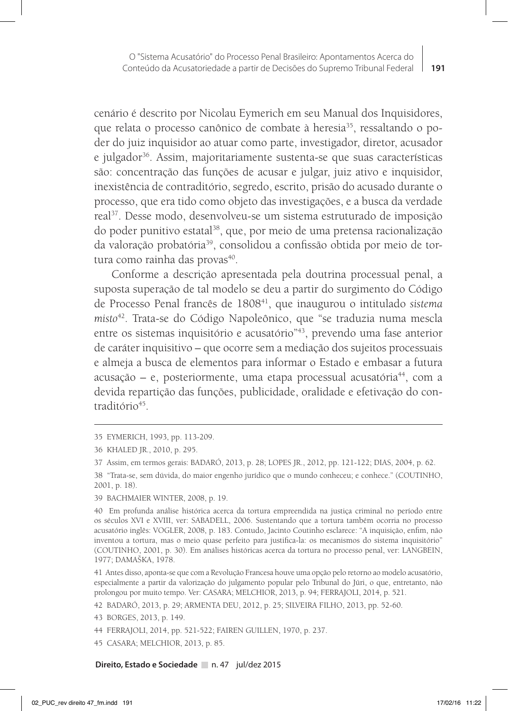cenário é descrito por Nicolau Eymerich em seu Manual dos Inquisidores, que relata o processo canônico de combate à heresia<sup>35</sup>, ressaltando o poder do juiz inquisidor ao atuar como parte, investigador, diretor, acusador e julgador<sup>36</sup>. Assim, majoritariamente sustenta-se que suas características são: concentração das funções de acusar e julgar, juiz ativo e inquisidor, inexistência de contraditório, segredo, escrito, prisão do acusado durante o processo, que era tido como objeto das investigações, e a busca da verdade real37. Desse modo, desenvolveu-se um sistema estruturado de imposição do poder punitivo estatal<sup>38</sup>, que, por meio de uma pretensa racionalização da valoração probatória39, consolidou a confissão obtida por meio de tortura como rainha das provas<sup>40</sup>.

Conforme a descrição apresentada pela doutrina processual penal, a suposta superação de tal modelo se deu a partir do surgimento do Código de Processo Penal francês de 180841, que inaugurou o intitulado *sistema misto*42. Trata-se do Código Napoleônico, que "se traduzia numa mescla entre os sistemas inquisitório e acusatório"<sup>43</sup>, prevendo uma fase anterior de caráter inquisitivo – que ocorre sem a mediação dos sujeitos processuais e almeja a busca de elementos para informar o Estado e embasar a futura  $acusação - e$ , posteriormente, uma etapa processual acusatória<sup>44</sup>, com a devida repartição das funções, publicidade, oralidade e efetivação do contraditório<sup>45</sup>.

42 BADARÓ, 2013, p. 29; ARMENTA DEU, 2012, p. 25; SILVEIRA FILHO, 2013, pp. 52-60.

<sup>35</sup> EYMERICH, 1993, pp. 113-209.

<sup>36</sup> KHALED JR., 2010, p. 295.

<sup>37</sup> Assim, em termos gerais: BADARÓ, 2013, p. 28; LOPES JR., 2012, pp. 121-122; DIAS, 2004, p. 62.

<sup>38 &</sup>quot;Trata-se, sem dúvida, do maior engenho jurídico que o mundo conheceu; e conhece." (COUTINHO, 2001, p. 18).

<sup>39</sup> BACHMAIER WINTER, 2008, p. 19.

<sup>40</sup> Em profunda análise histórica acerca da tortura empreendida na justiça criminal no período entre os séculos XVI e XVIII, ver: SABADELL, 2006. Sustentando que a tortura também ocorria no processo acusatório inglês: VOGLER, 2008, p. 183. Contudo, Jacinto Coutinho esclarece: "A inquisição, enfim, não inventou a tortura, mas o meio quase perfeito para justifica-la: os mecanismos do sistema inquisitório" (COUTINHO, 2001, p. 30). Em análises históricas acerca da tortura no processo penal, ver: LANGBEIN, 1977; DAMAŠKA, 1978.

<sup>41</sup> Antes disso, aponta-se que com a Revolução Francesa houve uma opção pelo retorno ao modelo acusatório, especialmente a partir da valorização do julgamento popular pelo Tribunal do Júri, o que, entretanto, não prolongou por muito tempo. Ver: CASARA; MELCHIOR, 2013, p. 94; FERRAJOLI, 2014, p. 521.

<sup>43</sup> BORGES, 2013, p. 149.

<sup>44</sup> FERRAJOLI, 2014, pp. 521-522; FAIREN GUILLEN, 1970, p. 237.

<sup>45</sup> CASARA; MELCHIOR, 2013, p. 85.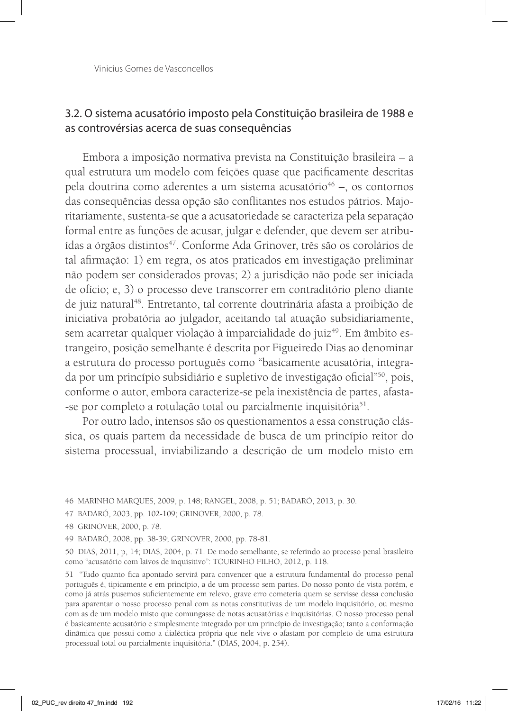Vinicius Gomes de Vasconcellos

# 3.2. O sistema acusatório imposto pela Constituição brasileira de 1988 e as controvérsias acerca de suas consequências

Embora a imposição normativa prevista na Constituição brasileira – a qual estrutura um modelo com feições quase que pacificamente descritas pela doutrina como aderentes a um sistema acusatório $46 -$ , os contornos das consequências dessa opção são conflitantes nos estudos pátrios. Majoritariamente, sustenta-se que a acusatoriedade se caracteriza pela separação formal entre as funções de acusar, julgar e defender, que devem ser atribuídas a órgãos distintos<sup>47</sup>. Conforme Ada Grinover, três são os corolários de tal afirmação: 1) em regra, os atos praticados em investigação preliminar não podem ser considerados provas; 2) a jurisdição não pode ser iniciada de ofício; e, 3) o processo deve transcorrer em contraditório pleno diante de juiz natural<sup>48</sup>. Entretanto, tal corrente doutrinária afasta a proibição de iniciativa probatória ao julgador, aceitando tal atuação subsidiariamente, sem acarretar qualquer violação à imparcialidade do juiz<sup>49</sup>. Em âmbito estrangeiro, posição semelhante é descrita por Figueiredo Dias ao denominar a estrutura do processo português como "basicamente acusatória, integrada por um princípio subsidiário e supletivo de investigação oficial<sup>n50</sup>, pois, conforme o autor, embora caracterize-se pela inexistência de partes, afasta- -se por completo a rotulação total ou parcialmente inquisitória<sup>51</sup>.

Por outro lado, intensos são os questionamentos a essa construção clássica, os quais partem da necessidade de busca de um princípio reitor do sistema processual, inviabilizando a descrição de um modelo misto em

<sup>46</sup> MARINHO MARQUES, 2009, p. 148; RANGEL, 2008, p. 51; BADARÓ, 2013, p. 30.

<sup>47</sup> BADARÓ, 2003, pp. 102-109; GRINOVER, 2000, p. 78.

<sup>48</sup> GRINOVER, 2000, p. 78.

<sup>49</sup> BADARÓ, 2008, pp. 38-39; GRINOVER, 2000, pp. 78-81.

<sup>50</sup> DIAS, 2011, p, 14; DIAS, 2004, p. 71. De modo semelhante, se referindo ao processo penal brasileiro como "acusatório com laivos de inquisitivo": TOURINHO FILHO, 2012, p. 118.

<sup>51 &</sup>quot;Tudo quanto fica apontado servirá para convencer que a estrutura fundamental do processo penal português é, tipicamente e em princípio, a de um processo sem partes. Do nosso ponto de vista porém, e como já atrás pusemos suficientemente em relevo, grave erro cometeria quem se servisse dessa conclusão para aparentar o nosso processo penal com as notas constitutivas de um modelo inquisitório, ou mesmo com as de um modelo misto que comungasse de notas acusatórias e inquisitórias. O nosso processo penal é basicamente acusatório e simplesmente integrado por um princípio de investigação; tanto a conformação dinâmica que possui como a dialéctica própria que nele vive o afastam por completo de uma estrutura processual total ou parcialmente inquisitória." (DIAS, 2004, p. 254).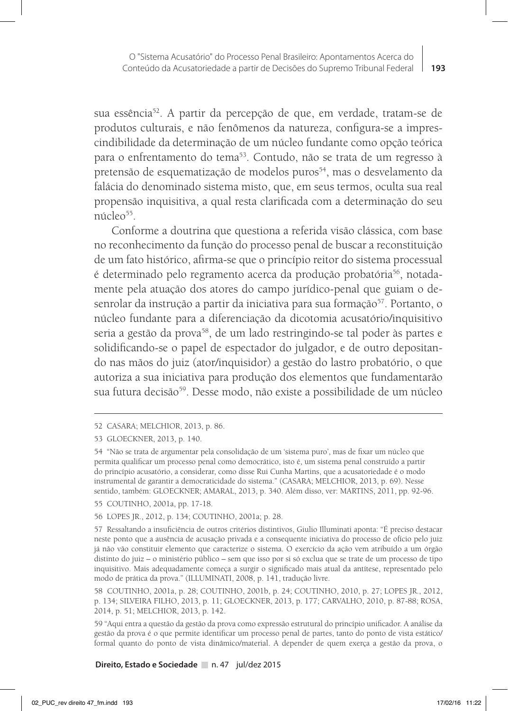sua essência52. A partir da percepção de que, em verdade, tratam-se de produtos culturais, e não fenômenos da natureza, configura-se a imprescindibilidade da determinação de um núcleo fundante como opção teórica para o enfrentamento do tema<sup>53</sup>. Contudo, não se trata de um regresso à pretensão de esquematização de modelos puros<sup>54</sup>, mas o desvelamento da falácia do denominado sistema misto, que, em seus termos, oculta sua real propensão inquisitiva, a qual resta clarificada com a determinação do seu núcleo<sup>55</sup>.

Conforme a doutrina que questiona a referida visão clássica, com base no reconhecimento da função do processo penal de buscar a reconstituição de um fato histórico, afirma-se que o princípio reitor do sistema processual é determinado pelo regramento acerca da produção probatória<sup>56</sup>, notadamente pela atuação dos atores do campo jurídico-penal que guiam o desenrolar da instrução a partir da iniciativa para sua formação<sup>57</sup>. Portanto, o núcleo fundante para a diferenciação da dicotomia acusatório/inquisitivo seria a gestão da prova<sup>58</sup>, de um lado restringindo-se tal poder às partes e solidificando-se o papel de espectador do julgador, e de outro depositando nas mãos do juiz (ator/inquisidor) a gestão do lastro probatório, o que autoriza a sua iniciativa para produção dos elementos que fundamentarão sua futura decisão<sup>59</sup>. Desse modo, não existe a possibilidade de um núcleo

<sup>52</sup> CASARA; MELCHIOR, 2013, p. 86.

<sup>53</sup> GLOECKNER, 2013, p. 140.

<sup>54 &</sup>quot;Não se trata de argumentar pela consolidação de um 'sistema puro', mas de fixar um núcleo que permita qualificar um processo penal como democrático, isto é, um sistema penal construído a partir do princípio acusatório, a considerar, como disse Rui Cunha Martins, que a acusatoriedade é o modo instrumental de garantir a democraticidade do sistema." (CASARA; MELCHIOR, 2013, p. 69). Nesse sentido, também: GLOECKNER; AMARAL, 2013, p. 340. Além disso, ver: MARTINS, 2011, pp. 92-96.

<sup>55</sup> COUTINHO, 2001a, pp. 17-18.

<sup>56</sup> LOPES JR., 2012, p. 134; COUTINHO, 2001a; p. 28.

<sup>57</sup> Ressaltando a insuficiência de outros critérios distintivos, Giulio Illuminati aponta: "É preciso destacar neste ponto que a ausência de acusação privada e a consequente iniciativa do processo de ofício pelo juiz já não vão constituir elemento que caracterize o sistema. O exercício da ação vem atribuído a um órgão distinto do juiz – o ministério público – sem que isso por si só exclua que se trate de um processo de tipo inquisitivo. Mais adequadamente começa a surgir o significado mais atual da antítese, representado pelo modo de prática da prova." (ILLUMINATI, 2008, p. 141, tradução livre.

<sup>58</sup> COUTINHO, 2001a, p. 28; COUTINHO, 2001b, p. 24; COUTINHO, 2010, p. 27; LOPES JR., 2012, p. 134; SILVEIRA FILHO, 2013, p. 11; GLOECKNER, 2013, p. 177; CARVALHO, 2010, p. 87-88; ROSA, 2014, p. 51; MELCHIOR, 2013, p. 142.

<sup>59 &</sup>quot;Aqui entra a questão da gestão da prova como expressão estrutural do princípio unificador. A análise da gestão da prova é o que permite identificar um processo penal de partes, tanto do ponto de vista estático/ formal quanto do ponto de vista dinâmico/material. A depender de quem exerça a gestão da prova, o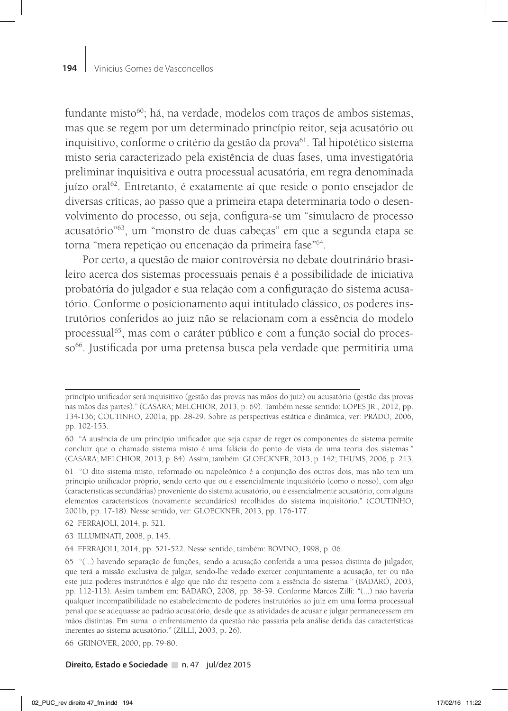fundante misto<sup>60</sup>; há, na verdade, modelos com traços de ambos sistemas, mas que se regem por um determinado princípio reitor, seja acusatório ou inquisitivo, conforme o critério da gestão da prova<sup>61</sup>. Tal hipotético sistema misto seria caracterizado pela existência de duas fases, uma investigatória preliminar inquisitiva e outra processual acusatória, em regra denominada juízo oral<sup>62</sup>. Entretanto, é exatamente aí que reside o ponto ensejador de diversas críticas, ao passo que a primeira etapa determinaria todo o desenvolvimento do processo, ou seja, configura-se um "simulacro de processo acusatório"63, um "monstro de duas cabeças" em que a segunda etapa se torna "mera repetição ou encenação da primeira fase"64.

Por certo, a questão de maior controvérsia no debate doutrinário brasileiro acerca dos sistemas processuais penais é a possibilidade de iniciativa probatória do julgador e sua relação com a configuração do sistema acusatório. Conforme o posicionamento aqui intitulado clássico, os poderes instrutórios conferidos ao juiz não se relacionam com a essência do modelo processual<sup>65</sup>, mas com o caráter público e com a função social do processo<sup>66</sup>. Justificada por uma pretensa busca pela verdade que permitiria uma

princípio unificador será inquisitivo (gestão das provas nas mãos do juiz) ou acusatório (gestão das provas nas mãos das partes)." (CASARA; MELCHIOR, 2013, p. 69). Também nesse sentido: LOPES JR., 2012, pp. 134-136; COUTINHO, 2001a, pp. 28-29. Sobre as perspectivas estática e dinâmica, ver: PRADO, 2006, pp. 102-153.

<sup>60 &</sup>quot;A ausência de um princípio unificador que seja capaz de reger os componentes do sistema permite concluir que o chamado sistema misto é uma falácia do ponto de vista de uma teoria dos sistemas." (CASARA; MELCHIOR, 2013, p. 84). Assim, também: GLOECKNER, 2013, p. 142; THUMS, 2006, p. 213.

<sup>61 &</sup>quot;O dito sistema misto, reformado ou napoleônico é a conjunção dos outros dois, mas não tem um princípio unificador próprio, sendo certo que ou é essencialmente inquisitório (como o nosso), com algo (características secundárias) proveniente do sistema acusatório, ou é essencialmente acusatório, com alguns elementos característicos (novamente secundários) recolhidos do sistema inquisitório." (COUTINHO, 2001b, pp. 17-18). Nesse sentido, ver: GLOECKNER, 2013, pp. 176-177.

<sup>62</sup> FERRAJOLI, 2014, p. 521.

<sup>63</sup> ILLUMINATI, 2008, p. 145.

<sup>64</sup> FERRAJOLI, 2014, pp. 521-522. Nesse sentido, também: BOVINO, 1998, p. 06.

<sup>65 &</sup>quot;(...) havendo separação de funções, sendo a acusação conferida a uma pessoa distinta do julgador, que terá a missão exclusiva de julgar, sendo-lhe vedado exercer conjuntamente a acusação, ter ou não este juiz poderes instrutórios é algo que não diz respeito com a essência do sistema." (BADARÓ, 2003, pp. 112-113). Assim também em: BADARÓ, 2008, pp. 38-39. Conforme Marcos Zilli: "(...) não haveria qualquer incompatibilidade no estabelecimento de poderes instrutórios ao juiz em uma forma processual penal que se adequasse ao padrão acusatório, desde que as atividades de acusar e julgar permanecessem em mãos distintas. Em suma: o enfrentamento da questão não passaria pela análise detida das características inerentes ao sistema acusatório." (ZILLI, 2003, p. 26).

<sup>66</sup> GRINOVER, 2000, pp. 79-80.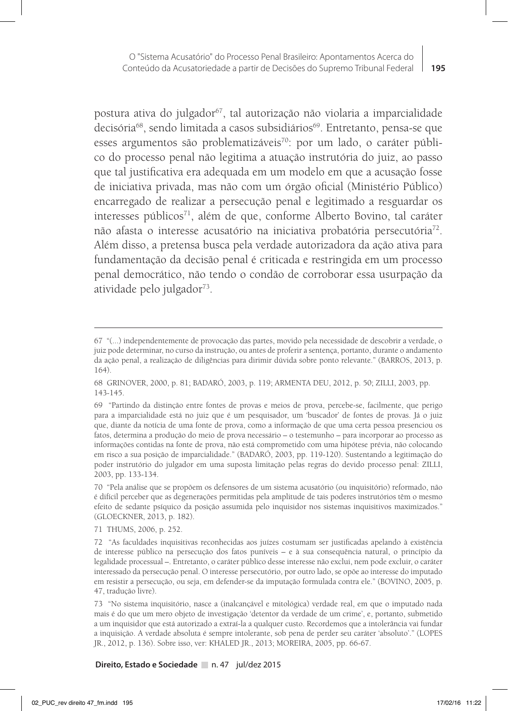postura ativa do julgador<sup>67</sup>, tal autorização não violaria a imparcialidade decisória<sup>68</sup>, sendo limitada a casos subsidiários<sup>69</sup>. Entretanto, pensa-se que esses argumentos são problematizáveis<sup>70</sup>: por um lado, o caráter público do processo penal não legitima a atuação instrutória do juiz, ao passo que tal justificativa era adequada em um modelo em que a acusação fosse de iniciativa privada, mas não com um órgão oficial (Ministério Público) encarregado de realizar a persecução penal e legitimado a resguardar os interesses públicos<sup>71</sup>, além de que, conforme Alberto Bovino, tal caráter não afasta o interesse acusatório na iniciativa probatória persecutória<sup>72</sup>. Além disso, a pretensa busca pela verdade autorizadora da ação ativa para fundamentação da decisão penal é criticada e restringida em um processo penal democrático, não tendo o condão de corroborar essa usurpação da atividade pelo julgador<sup>73</sup>.

71 THUMS, 2006, p. 252.

<sup>67 &</sup>quot;(...) independentemente de provocação das partes, movido pela necessidade de descobrir a verdade, o juiz pode determinar, no curso da instrução, ou antes de proferir a sentença, portanto, durante o andamento da ação penal, a realização de diligências para dirimir dúvida sobre ponto relevante." (BARROS, 2013, p. 164).

<sup>68</sup> GRINOVER, 2000, p. 81; BADARÓ, 2003, p. 119; ARMENTA DEU, 2012, p. 50; ZILLI, 2003, pp. 143-145.

<sup>69 &</sup>quot;Partindo da distinção entre fontes de provas e meios de prova, percebe-se, facilmente, que perigo para a imparcialidade está no juiz que é um pesquisador, um 'buscador' de fontes de provas. Já o juiz que, diante da notícia de uma fonte de prova, como a informação de que uma certa pessoa presenciou os fatos, determina a produção do meio de prova necessário – o testemunho – para incorporar ao processo as informações contidas na fonte de prova, não está comprometido com uma hipótese prévia, não colocando em risco a sua posição de imparcialidade." (BADARÓ, 2003, pp. 119-120). Sustentando a legitimação do poder instrutório do julgador em uma suposta limitação pelas regras do devido processo penal: ZILLI, 2003, pp. 133-134.

<sup>70 &</sup>quot;Pela análise que se propõem os defensores de um sistema acusatório (ou inquisitório) reformado, não é difícil perceber que as degenerações permitidas pela amplitude de tais poderes instrutórios têm o mesmo efeito de sedante psíquico da posição assumida pelo inquisidor nos sistemas inquisitivos maximizados." (GLOECKNER, 2013, p. 182).

<sup>72 &</sup>quot;As faculdades inquisitivas reconhecidas aos juízes costumam ser justificadas apelando à existência de interesse público na persecução dos fatos puníveis – e à sua consequência natural, o princípio da legalidade processual –. Entretanto, o caráter público desse interesse não exclui, nem pode excluir, o caráter interessado da persecução penal. O interesse persecutório, por outro lado, se opõe ao interesse do imputado em resistir a persecução, ou seja, em defender-se da imputação formulada contra ele." (BOVINO, 2005, p. 47, tradução livre).

<sup>73 &</sup>quot;No sistema inquisitório, nasce a (inalcançável e mitológica) verdade real, em que o imputado nada mais é do que um mero objeto de investigação 'detentor da verdade de um crime', e, portanto, submetido a um inquisidor que está autorizado a extraí-la a qualquer custo. Recordemos que a intolerância vai fundar a inquisição. A verdade absoluta é sempre intolerante, sob pena de perder seu caráter 'absoluto'." (LOPES JR., 2012, p. 136). Sobre isso, ver: KHALED JR., 2013; MOREIRA, 2005, pp. 66-67.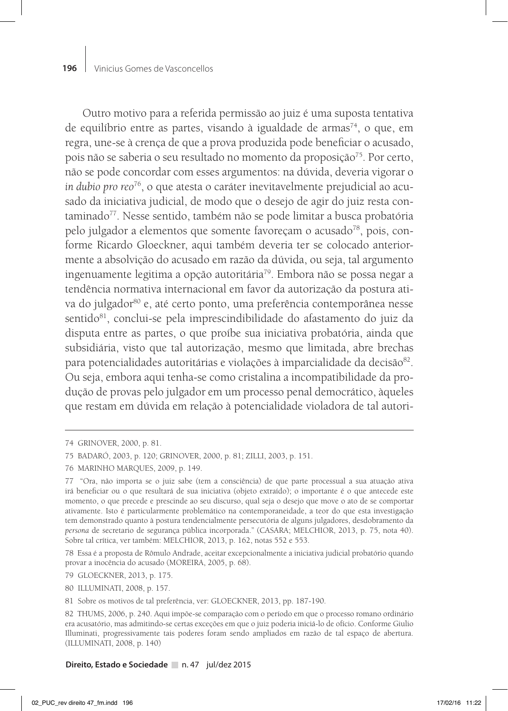Outro motivo para a referida permissão ao juiz é uma suposta tentativa de equilíbrio entre as partes, visando à igualdade de armas<sup>74</sup>, o que, em regra, une-se à crença de que a prova produzida pode beneficiar o acusado, pois não se saberia o seu resultado no momento da proposição<sup>75</sup>. Por certo, não se pode concordar com esses argumentos: na dúvida, deveria vigorar o *in dubio pro reo*76, o que atesta o caráter inevitavelmente prejudicial ao acusado da iniciativa judicial, de modo que o desejo de agir do juiz resta contaminado<sup>77</sup>. Nesse sentido, também não se pode limitar a busca probatória pelo julgador a elementos que somente favoreçam o acusado<sup>78</sup>, pois, conforme Ricardo Gloeckner, aqui também deveria ter se colocado anteriormente a absolvição do acusado em razão da dúvida, ou seja, tal argumento ingenuamente legitima a opção autoritária<sup>79</sup>. Embora não se possa negar a tendência normativa internacional em favor da autorização da postura ativa do julgador<sup>80</sup> e, até certo ponto, uma preferência contemporânea nesse sentido<sup>81</sup>, conclui-se pela imprescindibilidade do afastamento do juiz da disputa entre as partes, o que proíbe sua iniciativa probatória, ainda que subsidiária, visto que tal autorização, mesmo que limitada, abre brechas para potencialidades autoritárias e violações à imparcialidade da decisão<sup>82</sup>. Ou seja, embora aqui tenha-se como cristalina a incompatibilidade da produção de provas pelo julgador em um processo penal democrático, àqueles que restam em dúvida em relação à potencialidade violadora de tal autori-

79 GLOECKNER, 2013, p. 175.

<sup>74</sup> GRINOVER, 2000, p. 81.

<sup>75</sup> BADARÓ, 2003, p. 120; GRINOVER, 2000, p. 81; ZILLI, 2003, p. 151.

<sup>76</sup> MARINHO MARQUES, 2009, p. 149.

<sup>77 &</sup>quot;Ora, não importa se o juiz sabe (tem a consciência) de que parte processual a sua atuação ativa irá beneficiar ou o que resultará de sua iniciativa (objeto extraído); o importante é o que antecede este momento, o que precede e prescinde ao seu discurso, qual seja o desejo que move o ato de se comportar ativamente. Isto é particularmente problemático na contemporaneidade, a teor do que esta investigação tem demonstrado quanto à postura tendencialmente persecutória de alguns julgadores, desdobramento da *persona* de secretario de segurança pública incorporada." (CASARA; MELCHIOR, 2013, p. 75, nota 40). Sobre tal crítica, ver também: MELCHIOR, 2013, p. 162, notas 552 e 553.

<sup>78</sup> Essa é a proposta de Rômulo Andrade, aceitar excepcionalmente a iniciativa judicial probatório quando provar a inocência do acusado (MOREIRA, 2005, p. 68).

<sup>80</sup> ILLUMINATI, 2008, p. 157.

<sup>81</sup> Sobre os motivos de tal preferência, ver: GLOECKNER, 2013, pp. 187-190.

<sup>82</sup> THUMS, 2006, p. 240. Aqui impõe-se comparação com o período em que o processo romano ordinário era acusatório, mas admitindo-se certas exceções em que o juiz poderia iniciá-lo de ofício. Conforme Giulio Illuminati, progressivamente tais poderes foram sendo ampliados em razão de tal espaço de abertura. (ILLUMINATI, 2008, p. 140)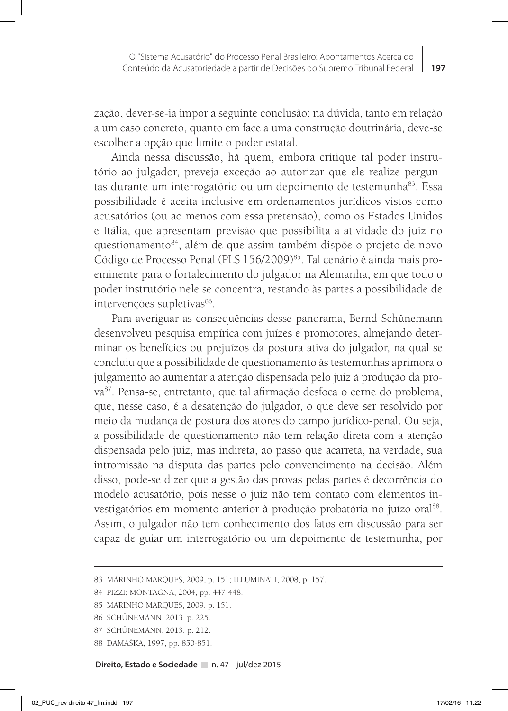zação, dever-se-ia impor a seguinte conclusão: na dúvida, tanto em relação a um caso concreto, quanto em face a uma construção doutrinária, deve-se escolher a opção que limite o poder estatal.

Ainda nessa discussão, há quem, embora critique tal poder instrutório ao julgador, preveja exceção ao autorizar que ele realize perguntas durante um interrogatório ou um depoimento de testemunha<sup>83</sup>. Essa possibilidade é aceita inclusive em ordenamentos jurídicos vistos como acusatórios (ou ao menos com essa pretensão), como os Estados Unidos e Itália, que apresentam previsão que possibilita a atividade do juiz no questionamento<sup>84</sup>, além de que assim também dispõe o projeto de novo Código de Processo Penal (PLS 156/2009)<sup>85</sup>. Tal cenário é ainda mais proeminente para o fortalecimento do julgador na Alemanha, em que todo o poder instrutório nele se concentra, restando às partes a possibilidade de intervenções supletivas<sup>86</sup>.

Para averiguar as consequências desse panorama, Bernd Schünemann desenvolveu pesquisa empírica com juízes e promotores, almejando determinar os benefícios ou prejuízos da postura ativa do julgador, na qual se concluiu que a possibilidade de questionamento às testemunhas aprimora o julgamento ao aumentar a atenção dispensada pelo juiz à produção da prova87. Pensa-se, entretanto, que tal afirmação desfoca o cerne do problema, que, nesse caso, é a desatenção do julgador, o que deve ser resolvido por meio da mudança de postura dos atores do campo jurídico-penal. Ou seja, a possibilidade de questionamento não tem relação direta com a atenção dispensada pelo juiz, mas indireta, ao passo que acarreta, na verdade, sua intromissão na disputa das partes pelo convencimento na decisão. Além disso, pode-se dizer que a gestão das provas pelas partes é decorrência do modelo acusatório, pois nesse o juiz não tem contato com elementos investigatórios em momento anterior à produção probatória no juízo oral<sup>88</sup>. Assim, o julgador não tem conhecimento dos fatos em discussão para ser capaz de guiar um interrogatório ou um depoimento de testemunha, por

<sup>83</sup> MARINHO MARQUES, 2009, p. 151; ILLUMINATI, 2008, p. 157.

<sup>84</sup> PIZZI; MONTAGNA, 2004, pp. 447-448.

<sup>85</sup> MARINHO MARQUES, 2009, p. 151.

<sup>86</sup> SCHÜNEMANN, 2013, p. 225.

<sup>87</sup> SCHÜNEMANN, 2013, p. 212.

<sup>88</sup> DAMAŠKA, 1997, pp. 850-851.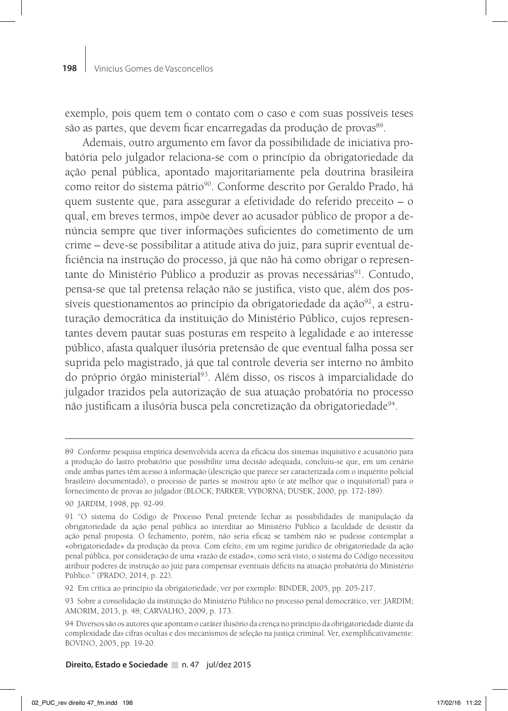exemplo, pois quem tem o contato com o caso e com suas possíveis teses são as partes, que devem ficar encarregadas da produção de provas<sup>89</sup>.

Ademais, outro argumento em favor da possibilidade de iniciativa probatória pelo julgador relaciona-se com o princípio da obrigatoriedade da ação penal pública, apontado majoritariamente pela doutrina brasileira como reitor do sistema pátrio<sup>90</sup>. Conforme descrito por Geraldo Prado, há quem sustente que, para assegurar a efetividade do referido preceito – o qual, em breves termos, impõe dever ao acusador público de propor a denúncia sempre que tiver informações suficientes do cometimento de um crime – deve-se possibilitar a atitude ativa do juiz, para suprir eventual deficiência na instrução do processo, já que não há como obrigar o representante do Ministério Público a produzir as provas necessárias<sup>91</sup>. Contudo, pensa-se que tal pretensa relação não se justifica, visto que, além dos possíveis questionamentos ao princípio da obrigatoriedade da ação $92$ , a estruturação democrática da instituição do Ministério Público, cujos representantes devem pautar suas posturas em respeito à legalidade e ao interesse público, afasta qualquer ilusória pretensão de que eventual falha possa ser suprida pelo magistrado, já que tal controle deveria ser interno no âmbito do próprio órgão ministerial<sup>93</sup>. Além disso, os riscos à imparcialidade do julgador trazidos pela autorização de sua atuação probatória no processo não justificam a ilusória busca pela concretização da obrigatoriedade<sup>94</sup>.

<sup>89</sup> Conforme pesquisa empírica desenvolvida acerca da eficácia dos sistemas inquisitivo e acusatório para a produção do lastro probatório que possibilite uma decisão adequada, concluiu-se que, em um cenário onde ambas partes têm acesso à informação (descrição que parece ser caracterizada com o inquérito policial brasileiro documentado), o processo de partes se mostrou apto (e até melhor que o inquisitorial) para o fornecimento de provas ao julgador (BLOCK; PARKER; VYBORNA; DUSEK, 2000, pp. 172-189).

<sup>90</sup> JARDIM, 1998, pp. 92-99.

<sup>91 &</sup>quot;O sistema do Código de Processo Penal pretende fechar as possibilidades de manipulação da obrigatoriedade da ação penal pública ao interditar ao Ministério Público a faculdade de desistir da ação penal proposta. O fechamento, porém, não seria eficaz se também não se pudesse contemplar a «obrigatoriedade» da produção da prova. Com efeito, em um regime jurídico de obrigatoriedade da ação penal pública, por consideração de uma «razão de estado», como será visto, o sistema do Código necessitou atribuir poderes de instrução ao juiz para compensar eventuais déficits na atuação probatória do Ministério Público." (PRADO, 2014, p. 22).

<sup>92</sup> Em crítica ao princípio da obrigatoriedade, ver por exemplo: BINDER, 2005, pp. 205-217.

<sup>93</sup> Sobre a consolidação da instituição do Ministério Público no processo penal democrático, ver: JARDIM; AMORIM, 2013, p. 48; CARVALHO, 2009, p. 173.

<sup>94</sup> Diversos são os autores que apontam o caráter ilusório da crença no princípio da obrigatoriedade diante da complexidade das cifras ocultas e dos mecanismos de seleção na justiça criminal. Ver, exemplificativamente: BOVINO, 2005, pp. 19-20.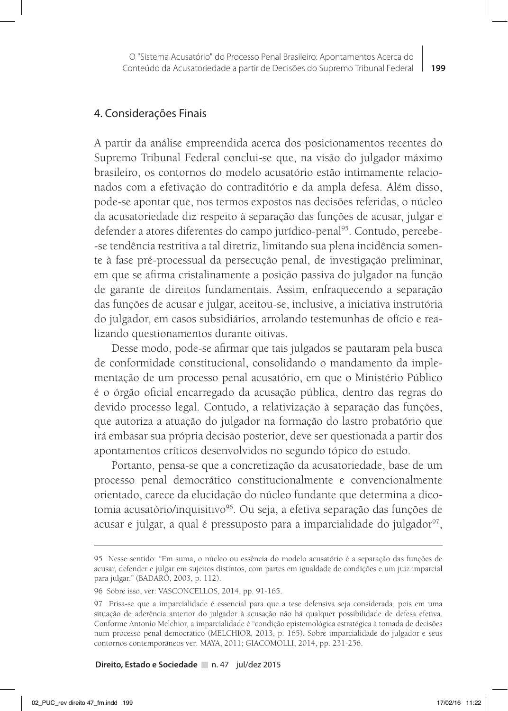#### 4. Considerações Finais

A partir da análise empreendida acerca dos posicionamentos recentes do Supremo Tribunal Federal conclui-se que, na visão do julgador máximo brasileiro, os contornos do modelo acusatório estão intimamente relacionados com a efetivação do contraditório e da ampla defesa. Além disso, pode-se apontar que, nos termos expostos nas decisões referidas, o núcleo da acusatoriedade diz respeito à separação das funções de acusar, julgar e defender a atores diferentes do campo jurídico-penal<sup>95</sup>. Contudo, percebe--se tendência restritiva a tal diretriz, limitando sua plena incidência somente à fase pré-processual da persecução penal, de investigação preliminar, em que se afirma cristalinamente a posição passiva do julgador na função de garante de direitos fundamentais. Assim, enfraquecendo a separação das funções de acusar e julgar, aceitou-se, inclusive, a iniciativa instrutória do julgador, em casos subsidiários, arrolando testemunhas de ofício e realizando questionamentos durante oitivas.

Desse modo, pode-se afirmar que tais julgados se pautaram pela busca de conformidade constitucional, consolidando o mandamento da implementação de um processo penal acusatório, em que o Ministério Público é o órgão oficial encarregado da acusação pública, dentro das regras do devido processo legal. Contudo, a relativização à separação das funções, que autoriza a atuação do julgador na formação do lastro probatório que irá embasar sua própria decisão posterior, deve ser questionada a partir dos apontamentos críticos desenvolvidos no segundo tópico do estudo.

Portanto, pensa-se que a concretização da acusatoriedade, base de um processo penal democrático constitucionalmente e convencionalmente orientado, carece da elucidação do núcleo fundante que determina a dicotomia acusatório/inquisitivo<sup>96</sup>. Ou seja, a efetiva separação das funções de acusar e julgar, a qual é pressuposto para a imparcialidade do julgador<sup>97</sup>,

<sup>95</sup> Nesse sentido: "Em suma, o núcleo ou essência do modelo acusatório é a separação das funções de acusar, defender e julgar em sujeitos distintos, com partes em igualdade de condições e um juiz imparcial para julgar." (BADARÓ, 2003, p. 112).

<sup>96</sup> Sobre isso, ver: VASCONCELLOS, 2014, pp. 91-165.

<sup>97</sup> Frisa-se que a imparcialidade é essencial para que a tese defensiva seja considerada, pois em uma situação de aderência anterior do julgador à acusação não há qualquer possibilidade de defesa efetiva. Conforme Antonio Melchior, a imparcialidade é "condição epistemológica estratégica à tomada de decisões num processo penal democrático (MELCHIOR, 2013, p. 165). Sobre imparcialidade do julgador e seus contornos contemporâneos ver: MAYA, 2011; GIACOMOLLI, 2014, pp. 231-256.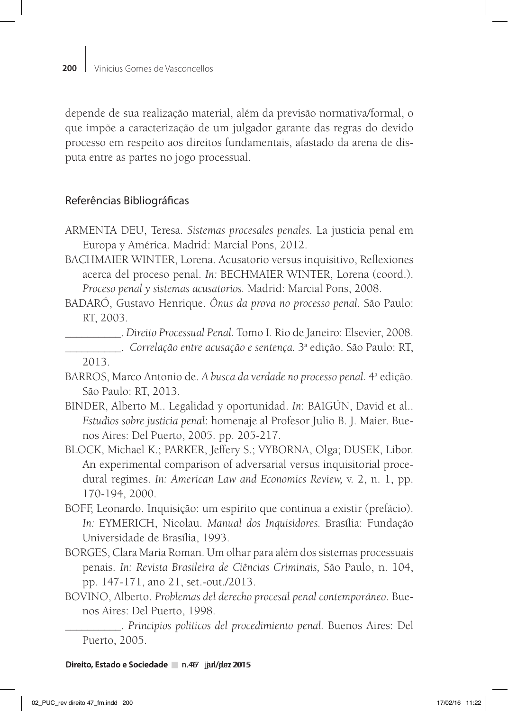depende de sua realização material, além da previsão normativa/formal, o que impõe a caracterização de um julgador garante das regras do devido processo em respeito aos direitos fundamentais, afastado da arena de disputa entre as partes no jogo processual.

# Referências Bibliográficas

- ARMENTA DEU, Teresa. *Sistemas procesales penales.* La justicia penal em Europa y América. Madrid: Marcial Pons, 2012.
- BACHMAIER WINTER, Lorena. Acusatorio versus inquisitivo, Reflexiones acerca del proceso penal. *In:* BECHMAIER WINTER, Lorena (coord.). *Proceso penal y sistemas acusatorios.* Madrid: Marcial Pons, 2008.
- BADARÓ, Gustavo Henrique. *Ônus da prova no processo penal.* São Paulo: RT, 2003.
- \_\_\_\_\_\_\_\_\_\_. *Direito Processual Penal.* Tomo I. Rio de Janeiro: Elsevier, 2008. \_\_\_\_\_\_\_\_\_\_. *Correlação entre acusação e sentença.* 3a edição. São Paulo: RT, 2013.
- BARROS, Marco Antonio de. *A busca da verdade no processo penal*. 4ª edição. São Paulo: RT, 2013.
- BINDER, Alberto M.. Legalidad y oportunidad. *In*: BAIGÚN, David et al.. *Estudios sobre justicia penal*: homenaje al Profesor Julio B. J. Maier. Buenos Aires: Del Puerto, 2005. pp. 205-217.
- BLOCK, Michael K.; PARKER, Jeffery S.; VYBORNA, Olga; DUSEK, Libor. An experimental comparison of adversarial versus inquisitorial procedural regimes. *In: American Law and Economics Review,* v. 2, n. 1, pp. 170-194, 2000.
- BOFF, Leonardo. Inquisição: um espírito que continua a existir (prefácio). *In:* EYMERICH, Nicolau. *Manual dos Inquisidores.* Brasília: Fundação Universidade de Brasília, 1993.
- BORGES, Clara Maria Roman. Um olhar para além dos sistemas processuais penais. *In: Revista Brasileira de Ciências Criminais,* São Paulo, n. 104, pp. 147-171, ano 21, set.-out./2013.
- BOVINO, Alberto. *Problemas del derecho procesal penal contemporáneo*. Buenos Aires: Del Puerto, 1998.

\_\_\_\_\_\_\_\_\_\_. *Principios politicos del procedimiento penal.* Buenos Aires: Del Puerto, 2005.

**Direito, Estado e Sociedade** n.467 jan/jun 2015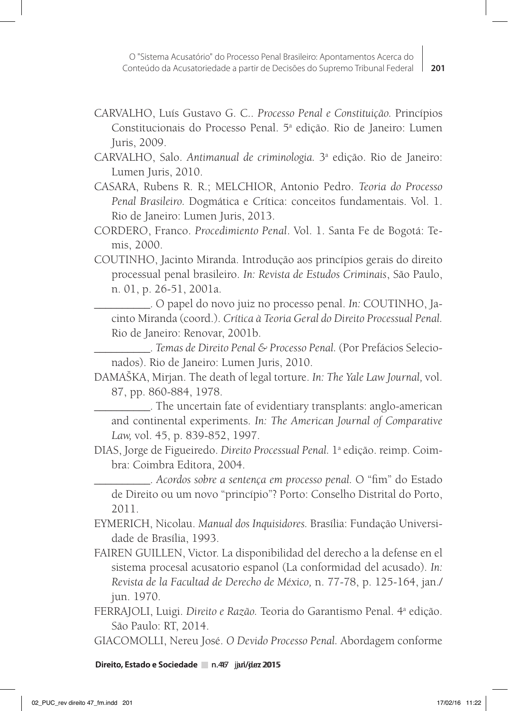- CARVALHO, Luís Gustavo G. C.. *Processo Penal e Constituição.* Princípios Constitucionais do Processo Penal. 5ª edição. Rio de Janeiro: Lumen Juris, 2009.
- CARVALHO, Salo. *Antimanual de criminologia.* 3a edição. Rio de Janeiro: Lumen Juris, 2010.
- CASARA, Rubens R. R.; MELCHIOR, Antonio Pedro. *Teoria do Processo Penal Brasileiro.* Dogmática e Crítica: conceitos fundamentais. Vol. 1. Rio de Janeiro: Lumen Juris, 2013.
- CORDERO, Franco. *Procedimiento Penal*. Vol. 1. Santa Fe de Bogotá: Temis, 2000.
- COUTINHO, Jacinto Miranda. Introdução aos princípios gerais do direito processual penal brasileiro. *In: Revista de Estudos Criminais*, São Paulo, n. 01, p. 26-51, 2001a.
	- \_\_\_\_\_\_\_\_\_\_. O papel do novo juiz no processo penal. *In:* COUTINHO, Jacinto Miranda (coord.). *Crítica à Teoria Geral do Direito Processual Penal.*  Rio de Janeiro: Renovar, 2001b.

\_\_\_\_\_\_\_\_\_\_. *Temas de Direito Penal & Processo Penal.* (Por Prefácios Selecionados). Rio de Janeiro: Lumen Juris, 2010.

DAMAŠKA, Mirjan. The death of legal torture. *In: The Yale Law Journal,* vol. 87, pp. 860-884, 1978.

\_\_\_\_\_\_\_\_\_\_. The uncertain fate of evidentiary transplants: anglo-american and continental experiments. *In: The American Journal of Comparative Law,* vol. 45, p. 839-852, 1997.

DIAS, Jorge de Figueiredo. *Direito Processual Penal.* 1a edição. reimp. Coimbra: Coimbra Editora, 2004.

\_\_\_\_\_\_\_\_\_\_. *Acordos sobre a sentença em processo penal.* O "fim" do Estado de Direito ou um novo "princípio"? Porto: Conselho Distrital do Porto, 2011.

- EYMERICH, Nicolau. *Manual dos Inquisidores.* Brasília: Fundação Universidade de Brasília, 1993.
- FAIREN GUILLEN, Victor. La disponibilidad del derecho a la defense en el sistema procesal acusatorio espanol (La conformidad del acusado). *In: Revista de la Facultad de Derecho de México,* n. 77-78, p. 125-164, jan./ jun. 1970.
- FERRAJOLI, Luigi. Direito e Razão. Teoria do Garantismo Penal. 4<sup>ª</sup> edição. São Paulo: RT, 2014.
- GIACOMOLLI, Nereu José. *O Devido Processo Penal.* Abordagem conforme

**Direito, Estado e Sociedade** n.467 jan/juez 2015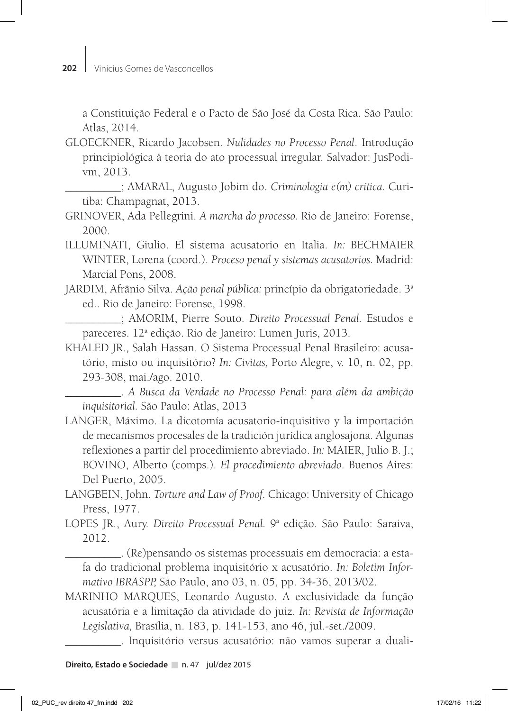a Constituição Federal e o Pacto de São José da Costa Rica. São Paulo: Atlas, 2014.

- GLOECKNER, Ricardo Jacobsen. *Nulidades no Processo Penal*. Introdução principiológica à teoria do ato processual irregular. Salvador: JusPodivm, 2013.
	- \_\_\_\_\_\_\_\_\_\_; AMARAL, Augusto Jobim do. *Criminologia e(m) crítica.* Curitiba: Champagnat, 2013.
- GRINOVER, Ada Pellegrini. *A marcha do processo.* Rio de Janeiro: Forense, 2000.
- ILLUMINATI, Giulio. El sistema acusatorio en Italia. *In:* BECHMAIER WINTER, Lorena (coord.). *Proceso penal y sistemas acusatorios.* Madrid: Marcial Pons, 2008.
- JARDIM, Afrânio Silva. *Ação penal pública:* princípio da obrigatoriedade. 3a ed.. Rio de Janeiro: Forense, 1998.

\_\_\_\_\_\_\_\_\_\_; AMORIM, Pierre Souto. *Direito Processual Penal.* Estudos e pareceres. 12<sup>ª</sup> edição. Rio de Janeiro: Lumen Juris, 2013.

KHALED JR., Salah Hassan. O Sistema Processual Penal Brasileiro: acusatório, misto ou inquisitório? *In: Civitas,* Porto Alegre, v. 10, n. 02, pp. 293-308, mai./ago. 2010.

\_\_\_\_\_\_\_\_\_\_. *A Busca da Verdade no Processo Penal: para além da ambição inquisitorial.* São Paulo: Atlas, 2013

- LANGER, Máximo. La dicotomía acusatorio-inquisitivo y la importación de mecanismos procesales de la tradición jurídica anglosajona. Algunas reflexiones a partir del procedimiento abreviado. *In:* MAIER, Julio B. J.; BOVINO, Alberto (comps.). *El procedimiento abreviado*. Buenos Aires: Del Puerto, 2005.
- LANGBEIN, John. *Torture and Law of Proof.* Chicago: University of Chicago Press, 1977.
- LOPES JR., Aury. Direito Processual Penal. 9<sup>a</sup> edição. São Paulo: Saraiva, 2012.

\_\_\_\_\_\_\_\_\_\_. (Re)pensando os sistemas processuais em democracia: a estafa do tradicional problema inquisitório x acusatório. *In: Boletim Informativo IBRASPP,* São Paulo, ano 03, n. 05, pp. 34-36, 2013/02.

MARINHO MARQUES, Leonardo Augusto. A exclusividade da função acusatória e a limitação da atividade do juiz. *In: Revista de Informação Legislativa,* Brasília, n. 183, p. 141-153, ano 46, jul.-set./2009.

\_\_\_\_\_\_\_\_\_\_. Inquisitório versus acusatório: não vamos superar a duali-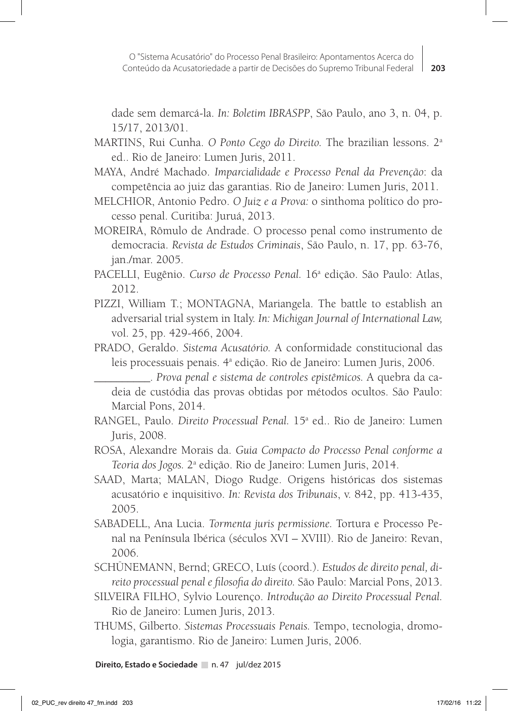dade sem demarcá-la. *In: Boletim IBRASPP*, São Paulo, ano 3, n. 04, p. 15/17, 2013/01.

- MARTINS, Rui Cunha. *O Ponto Cego do Direito.* The brazilian lessons. 2a ed.. Rio de Janeiro: Lumen Juris, 2011.
- MAYA, André Machado. *Imparcialidade e Processo Penal da Prevenção*: da competência ao juiz das garantias. Rio de Janeiro: Lumen Juris, 2011.
- MELCHIOR, Antonio Pedro. *O Juiz e a Prova:* o sinthoma político do processo penal. Curitiba: Juruá, 2013.
- MOREIRA, Rômulo de Andrade. O processo penal como instrumento de democracia. *Revista de Estudos Criminais*, São Paulo, n. 17, pp. 63-76, jan./mar. 2005.
- PACELLI, Eugênio. Curso de Processo Penal. 16<sup>ª</sup> edição. São Paulo: Atlas, 2012.
- PIZZI, William T.; MONTAGNA, Mariangela. The battle to establish an adversarial trial system in Italy. *In: Michigan Journal of International Law,*  vol. 25, pp. 429-466, 2004.
- PRADO, Geraldo. *Sistema Acusatório.* A conformidade constitucional das leis processuais penais. 4ª edição. Rio de Janeiro: Lumen Juris, 2006.

\_\_\_\_\_\_\_\_\_\_. *Prova penal e sistema de controles epistêmicos.* A quebra da cadeia de custódia das provas obtidas por métodos ocultos. São Paulo: Marcial Pons, 2014.

- RANGEL, Paulo. Direito Processual Penal. 15<sup>ª</sup> ed.. Rio de Janeiro: Lumen Juris, 2008.
- ROSA, Alexandre Morais da. *Guia Compacto do Processo Penal conforme a Teoria dos Jogos.* 2a edição. Rio de Janeiro: Lumen Juris, 2014.
- SAAD, Marta; MALAN, Diogo Rudge. Origens históricas dos sistemas acusatório e inquisitivo. *In: Revista dos Tribunais*, v. 842, pp. 413-435, 2005.
- SABADELL, Ana Lucia. *Tormenta juris permissione.* Tortura e Processo Penal na Península Ibérica (séculos XVI – XVIII). Rio de Janeiro: Revan, 2006.

SCHÜNEMANN, Bernd; GRECO, Luís (coord.). *Estudos de direito penal, direito processual penal e filosofia do direito.* São Paulo: Marcial Pons, 2013.

- SILVEIRA FILHO, Sylvio Lourenço. *Introdução ao Direito Processual Penal.*  Rio de Janeiro: Lumen Juris, 2013.
- THUMS, Gilberto. *Sistemas Processuais Penais.* Tempo, tecnologia, dromologia, garantismo. Rio de Janeiro: Lumen Juris, 2006.